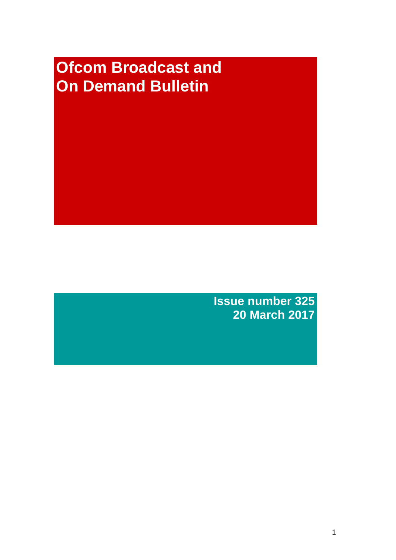# **Ofcom Broadcast and On Demand Bulletin**

**Issue number 325 20 March 2017**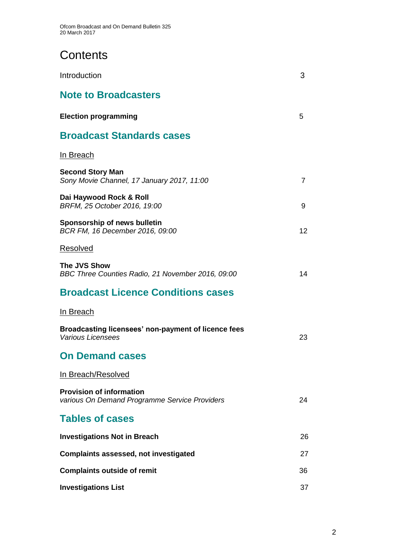# **Contents**

| Introduction                                                                     | 3              |
|----------------------------------------------------------------------------------|----------------|
| <b>Note to Broadcasters</b>                                                      |                |
| <b>Election programming</b>                                                      | 5              |
| <b>Broadcast Standards cases</b>                                                 |                |
| In Breach                                                                        |                |
| <b>Second Story Man</b><br>Sony Movie Channel, 17 January 2017, 11:00            | $\overline{7}$ |
| Dai Haywood Rock & Roll<br>BRFM, 25 October 2016, 19:00                          | 9              |
| Sponsorship of news bulletin<br>BCR FM, 16 December 2016, 09:00                  | 12             |
| Resolved                                                                         |                |
| The JVS Show<br>BBC Three Counties Radio, 21 November 2016, 09:00                | 14             |
| <b>Broadcast Licence Conditions cases</b>                                        |                |
| In Breach                                                                        |                |
| Broadcasting licensees' non-payment of licence fees<br><b>Various Licensees</b>  | 23             |
| <b>On Demand cases</b>                                                           |                |
| In Breach/Resolved                                                               |                |
| <b>Provision of information</b><br>various On Demand Programme Service Providers | 24             |
| <b>Tables of cases</b>                                                           |                |
| <b>Investigations Not in Breach</b>                                              | 26             |
| <b>Complaints assessed, not investigated</b>                                     | 27             |
| <b>Complaints outside of remit</b>                                               | 36             |
| <b>Investigations List</b>                                                       | 37             |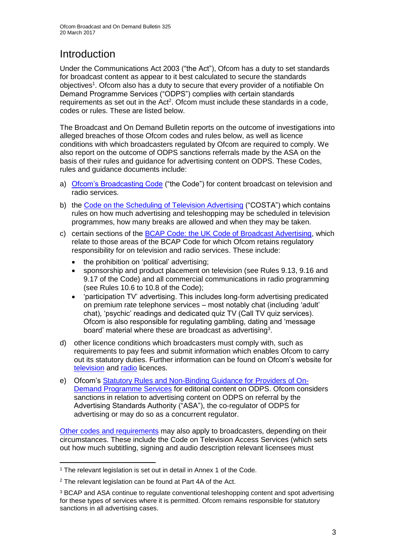# **Introduction**

Under the Communications Act 2003 ("the Act"), Ofcom has a duty to set standards for broadcast content as appear to it best calculated to secure the standards objectives<sup>1</sup>. Ofcom also has a duty to secure that every provider of a notifiable On Demand Programme Services ("ODPS") complies with certain standards requirements as set out in the Act<sup>2</sup>. Ofcom must include these standards in a code, codes or rules. These are listed below.

The Broadcast and On Demand Bulletin reports on the outcome of investigations into alleged breaches of those Ofcom codes and rules below, as well as licence conditions with which broadcasters regulated by Ofcom are required to comply. We also report on the outcome of ODPS sanctions referrals made by the ASA on the basis of their rules and guidance for advertising content on ODPS. These Codes, rules and guidance documents include:

- a) [Ofcom's Broadcasting Code](http://stakeholders.ofcom.org.uk/broadcasting/broadcast-codes/broadcast-code/) ("the Code") for content broadcast on television and radio services.
- b) the [Code on the Scheduling of Television Advertising](https://www.ofcom.org.uk/__data/assets/pdf_file/0014/32162/costa-april-2016.pdf) ("COSTA") which contains rules on how much advertising and teleshopping may be scheduled in television programmes, how many breaks are allowed and when they may be taken.
- c) certain sections of the [BCAP Code: the UK Code of Broadcast Advertising,](https://www.cap.org.uk/Advertising-Codes/Broadcast.aspx) which relate to those areas of the BCAP Code for which Ofcom retains regulatory responsibility for on television and radio services. These include:
	- the prohibition on 'political' advertising;
	- sponsorship and product placement on television (see Rules 9.13, 9.16 and 9.17 of the Code) and all commercial communications in radio programming (see Rules 10.6 to 10.8 of the Code);
	- 'participation TV' advertising. This includes long-form advertising predicated on premium rate telephone services – most notably chat (including 'adult' chat), 'psychic' readings and dedicated quiz TV (Call TV quiz services). Ofcom is also responsible for regulating gambling, dating and 'message board' material where these are broadcast as advertising<sup>3</sup>.
- d) other licence conditions which broadcasters must comply with, such as requirements to pay fees and submit information which enables Ofcom to carry out its statutory duties. Further information can be found on Ofcom's website for [television](http://licensing.ofcom.org.uk/tv-broadcast-licences/) and [radio](http://licensing.ofcom.org.uk/radio-broadcast-licensing/) licences.
- e) Ofcom's [Statutory Rules and Non-Binding Guidance for Providers of On-](http://stakeholders.ofcom.org.uk/binaries/broadcast/on-demand/rules-guidance/rules_and_guidance.pdf)[Demand Programme Services](http://stakeholders.ofcom.org.uk/binaries/broadcast/on-demand/rules-guidance/rules_and_guidance.pdf) for editorial content on ODPS. Ofcom considers sanctions in relation to advertising content on ODPS on referral by the Advertising Standards Authority ("ASA"), the co-regulator of ODPS for advertising or may do so as a concurrent regulator.

[Other codes and requirements](http://stakeholders.ofcom.org.uk/broadcasting/broadcast-codes/) may also apply to broadcasters, depending on their circumstances. These include the Code on Television Access Services (which sets out how much subtitling, signing and audio description relevant licensees must

<sup>1</sup> <sup>1</sup> The relevant legislation is set out in detail in Annex 1 of the Code.

<sup>&</sup>lt;sup>2</sup> The relevant legislation can be found at Part 4A of the Act.

<sup>3</sup> BCAP and ASA continue to regulate conventional teleshopping content and spot advertising for these types of services where it is permitted. Ofcom remains responsible for statutory sanctions in all advertising cases.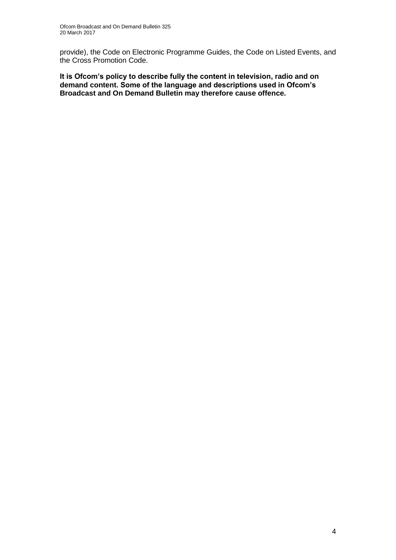provide), the Code on Electronic Programme Guides, the Code on Listed Events, and the Cross Promotion Code.

**It is Ofcom's policy to describe fully the content in television, radio and on demand content. Some of the language and descriptions used in Ofcom's Broadcast and On Demand Bulletin may therefore cause offence.**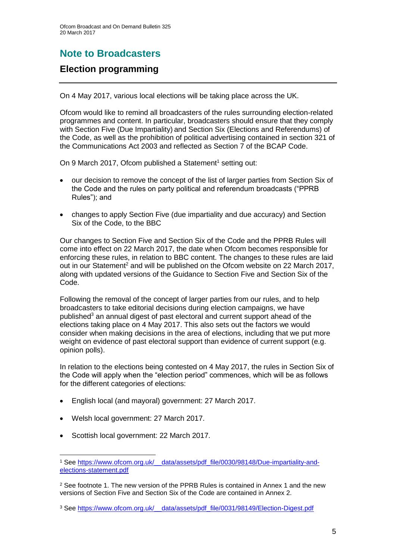# **Note to Broadcasters**

### **Election programming**

On 4 May 2017, various local elections will be taking place across the UK.

Ofcom would like to remind all broadcasters of the rules surrounding election-related programmes and content. In particular, broadcasters should ensure that they comply with Section Five (Due Impartiality) and Section Six (Elections and Referendums) of the Code, as well as the prohibition of political advertising contained in section 321 of the Communications Act 2003 and reflected as Section 7 of the BCAP Code.

On 9 March 2017, Ofcom published a Statement<sup>1</sup> setting out:

- our decision to remove the concept of the list of larger parties from Section Six of the Code and the rules on party political and referendum broadcasts ("PPRB Rules"); and
- changes to apply Section Five (due impartiality and due accuracy) and Section Six of the Code, to the BBC

Our changes to Section Five and Section Six of the Code and the PPRB Rules will come into effect on 22 March 2017, the date when Ofcom becomes responsible for enforcing these rules, in relation to BBC content. The changes to these rules are laid out in our Statement<sup>2</sup> and will be published on the Ofcom website on 22 March 2017, along with updated versions of the Guidance to Section Five and Section Six of the Code.

Following the removal of the concept of larger parties from our rules, and to help broadcasters to take editorial decisions during election campaigns, we have published<sup>3</sup> an annual digest of past electoral and current support ahead of the elections taking place on 4 May 2017. This also sets out the factors we would consider when making decisions in the area of elections, including that we put more weight on evidence of past electoral support than evidence of current support (e.g. opinion polls).

In relation to the elections being contested on 4 May 2017, the rules in Section Six of the Code will apply when the "election period" commences, which will be as follows for the different categories of elections:

- English local (and mayoral) government: 27 March 2017.
- Welsh local government: 27 March 2017.
- Scottish local government: 22 March 2017.

<sup>2</sup> See footnote 1. The new version of the PPRB Rules is contained in Annex 1 and the new versions of Section Five and Section Six of the Code are contained in Annex 2.

<sup>1</sup> <sup>1</sup> See [https://www.ofcom.org.uk/\\_\\_data/assets/pdf\\_file/0030/98148/Due-impartiality-and](https://www.ofcom.org.uk/__data/assets/pdf_file/0030/98148/Due-impartiality-and-elections-statement.pdf)[elections-statement.pdf](https://www.ofcom.org.uk/__data/assets/pdf_file/0030/98148/Due-impartiality-and-elections-statement.pdf)

<sup>&</sup>lt;sup>3</sup> See https://www.ofcom.org.uk/ data/assets/pdf\_file/0031/98149/Election-Digest.pdf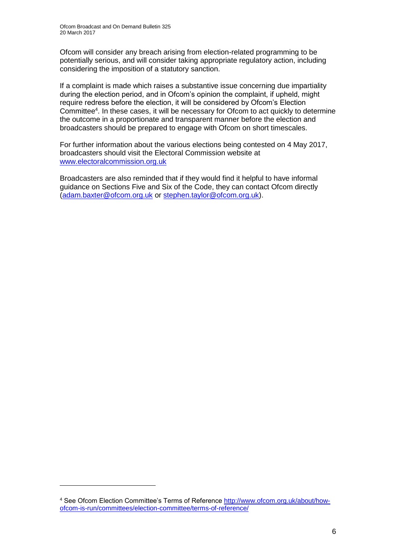Ofcom will consider any breach arising from election-related programming to be potentially serious, and will consider taking appropriate regulatory action, including considering the imposition of a statutory sanction.

If a complaint is made which raises a substantive issue concerning due impartiality during the election period, and in Ofcom's opinion the complaint, if upheld, might require redress before the election, it will be considered by Ofcom's Election Committee<sup>4</sup>. In these cases, it will be necessary for Ofcom to act quickly to determine the outcome in a proportionate and transparent manner before the election and broadcasters should be prepared to engage with Ofcom on short timescales.

For further information about the various elections being contested on 4 May 2017, broadcasters should visit the Electoral Commission website at [www.electoralcommission.org.uk](http://www.electoralcommission.org.uk/)

Broadcasters are also reminded that if they would find it helpful to have informal guidance on Sections Five and Six of the Code, they can contact Ofcom directly [\(adam.baxter@ofcom.org.uk](mailto:adam.baxter@ofcom.org.uk) or [stephen.taylor@ofcom.org.uk\)](mailto:stephen.taylor@ofcom.org.uk).

1

<sup>4</sup> See Ofcom Election Committee's Terms of Reference [http://www.ofcom.org.uk/about/how](http://www.ofcom.org.uk/about/how-ofcom-is-run/committees/election-committee/terms-of-reference/)[ofcom-is-run/committees/election-committee/terms-of-reference/](http://www.ofcom.org.uk/about/how-ofcom-is-run/committees/election-committee/terms-of-reference/)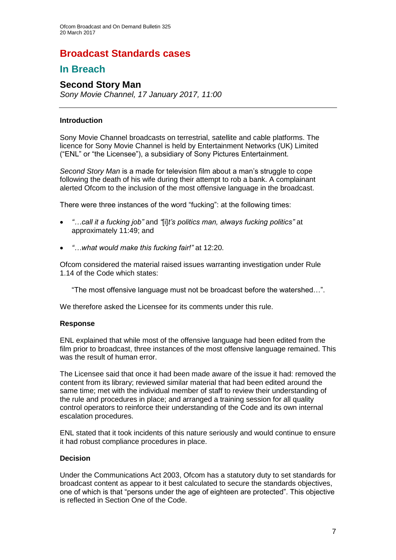### **Broadcast Standards cases**

### **In Breach**

### **Second Story Man**

*Sony Movie Channel, 17 January 2017, 11:00*

#### **Introduction**

Sony Movie Channel broadcasts on terrestrial, satellite and cable platforms. The licence for Sony Movie Channel is held by Entertainment Networks (UK) Limited ("ENL" or "the Licensee"), a subsidiary of Sony Pictures Entertainment.

*Second Story Man* is a made for television film about a man's struggle to cope following the death of his wife during their attempt to rob a bank. A complainant alerted Ofcom to the inclusion of the most offensive language in the broadcast.

There were three instances of the word "fucking": at the following times:

- *"…call it a fucking job"* and *"*[i]*t's politics man, always fucking politics"* at approximately 11:49; and
- *"…what would make this fucking fair!"* at 12:20.

Ofcom considered the material raised issues warranting investigation under Rule 1.14 of the Code which states:

"The most offensive language must not be broadcast before the watershed…".

We therefore asked the Licensee for its comments under this rule.

#### **Response**

ENL explained that while most of the offensive language had been edited from the film prior to broadcast, three instances of the most offensive language remained. This was the result of human error.

The Licensee said that once it had been made aware of the issue it had: removed the content from its library; reviewed similar material that had been edited around the same time; met with the individual member of staff to review their understanding of the rule and procedures in place; and arranged a training session for all quality control operators to reinforce their understanding of the Code and its own internal escalation procedures.

ENL stated that it took incidents of this nature seriously and would continue to ensure it had robust compliance procedures in place.

#### **Decision**

Under the Communications Act 2003, Ofcom has a statutory duty to set standards for broadcast content as appear to it best calculated to secure the standards objectives, one of which is that "persons under the age of eighteen are protected". This objective is reflected in Section One of the Code.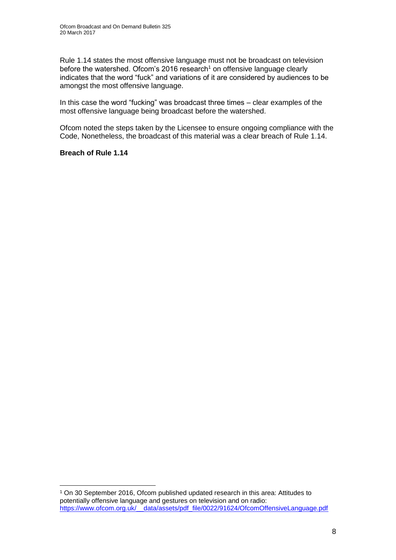Rule 1.14 states the most offensive language must not be broadcast on television before the watershed. Of com's 2016 research<sup>1</sup> on offensive language clearly indicates that the word "fuck" and variations of it are considered by audiences to be amongst the most offensive language.

In this case the word "fucking" was broadcast three times – clear examples of the most offensive language being broadcast before the watershed.

Ofcom noted the steps taken by the Licensee to ensure ongoing compliance with the Code, Nonetheless, the broadcast of this material was a clear breach of Rule 1.14.

#### **Breach of Rule 1.14**

1

<sup>1</sup> On 30 September 2016, Ofcom published updated research in this area: Attitudes to potentially offensive language and gestures on television and on radio: [https://www.ofcom.org.uk/\\_\\_data/assets/pdf\\_file/0022/91624/OfcomOffensiveLanguage.pdf](https://www.ofcom.org.uk/__data/assets/pdf_file/0022/91624/OfcomOffensiveLanguage.pdf)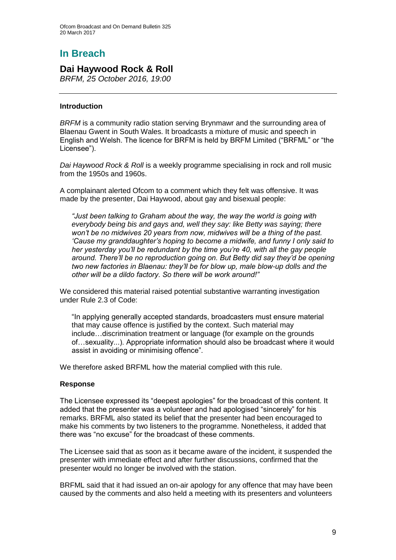# **In Breach**

### **Dai Haywood Rock & Roll**

*BRFM, 25 October 2016, 19:00*

#### **Introduction**

*BRFM* is a community radio station serving Brynmawr and the surrounding area of Blaenau Gwent in South Wales. It broadcasts a mixture of music and speech in English and Welsh. The licence for BRFM is held by BRFM Limited ("BRFML" or "the Licensee").

*Dai Haywood Rock & Roll* is a weekly programme specialising in rock and roll music from the 1950s and 1960s.

A complainant alerted Ofcom to a comment which they felt was offensive. It was made by the presenter, Dai Haywood, about gay and bisexual people:

*"Just been talking to Graham about the way, the way the world is going with everybody being bis and gays and, well they say: like Betty was saying; there won't be no midwives 20 years from now, midwives will be a thing of the past. 'Cause my granddaughter's hoping to become a midwife, and funny I only said to her yesterday you'll be redundant by the time you're 40, with all the gay people around. There'll be no reproduction going on. But Betty did say they'd be opening two new factories in Blaenau: they'll be for blow up, male blow-up dolls and the other will be a dildo factory. So there will be work around!"*

We considered this material raised potential substantive warranting investigation under Rule 2.3 of Code:

"In applying generally accepted standards, broadcasters must ensure material that may cause offence is justified by the context. Such material may include…discrimination treatment or language (for example on the grounds of…sexuality...). Appropriate information should also be broadcast where it would assist in avoiding or minimising offence".

We therefore asked BRFML how the material complied with this rule.

#### **Response**

The Licensee expressed its "deepest apologies" for the broadcast of this content. It added that the presenter was a volunteer and had apologised "sincerely" for his remarks. BRFML also stated its belief that the presenter had been encouraged to make his comments by two listeners to the programme. Nonetheless, it added that there was "no excuse" for the broadcast of these comments.

The Licensee said that as soon as it became aware of the incident, it suspended the presenter with immediate effect and after further discussions, confirmed that the presenter would no longer be involved with the station.

BRFML said that it had issued an on-air apology for any offence that may have been caused by the comments and also held a meeting with its presenters and volunteers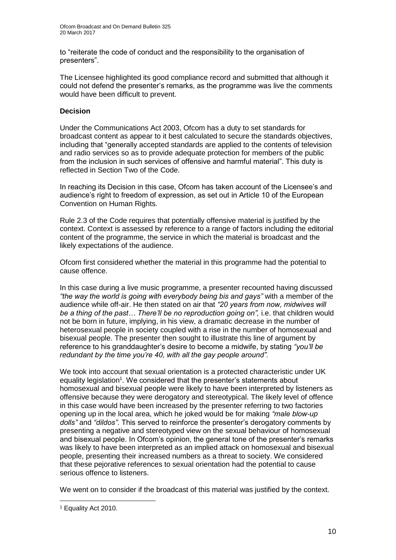to "reiterate the code of conduct and the responsibility to the organisation of presenters".

The Licensee highlighted its good compliance record and submitted that although it could not defend the presenter's remarks, as the programme was live the comments would have been difficult to prevent.

#### **Decision**

Under the Communications Act 2003, Ofcom has a duty to set standards for broadcast content as appear to it best calculated to secure the standards objectives, including that "generally accepted standards are applied to the contents of television and radio services so as to provide adequate protection for members of the public from the inclusion in such services of offensive and harmful material". This duty is reflected in Section Two of the Code.

In reaching its Decision in this case, Ofcom has taken account of the Licensee's and audience's right to freedom of expression, as set out in Article 10 of the European Convention on Human Rights.

Rule 2.3 of the Code requires that potentially offensive material is justified by the context. Context is assessed by reference to a range of factors including the editorial content of the programme, the service in which the material is broadcast and the likely expectations of the audience.

Ofcom first considered whether the material in this programme had the potential to cause offence.

In this case during a live music programme, a presenter recounted having discussed *"the way the world is going with everybody being bis and gays"* with a member of the audience while off-air. He then stated on air that *"20 years from now, midwives will be a thing of the past… There'll be no reproduction going on",* i.e. that children would not be born in future, implying, in his view, a dramatic decrease in the number of heterosexual people in society coupled with a rise in the number of homosexual and bisexual people. The presenter then sought to illustrate this line of argument by reference to his granddaughter's desire to become a midwife, by stating *"you'll be redundant by the time you're 40, with all the gay people around".*

We took into account that sexual orientation is a protected characteristic under UK equality legislation<sup>1</sup>. We considered that the presenter's statements about homosexual and bisexual people were likely to have been interpreted by listeners as offensive because they were derogatory and stereotypical. The likely level of offence in this case would have been increased by the presenter referring to two factories opening up in the local area, which he joked would be for making *"male blow-up dolls"* and *"dildos"*. This served to reinforce the presenter's derogatory comments by presenting a negative and stereotyped view on the sexual behaviour of homosexual and bisexual people. In Ofcom's opinion, the general tone of the presenter's remarks was likely to have been interpreted as an implied attack on homosexual and bisexual people, presenting their increased numbers as a threat to society. We considered that these pejorative references to sexual orientation had the potential to cause serious offence to listeners.

We went on to consider if the broadcast of this material was justified by the context.

1

<sup>1</sup> Equality Act 2010.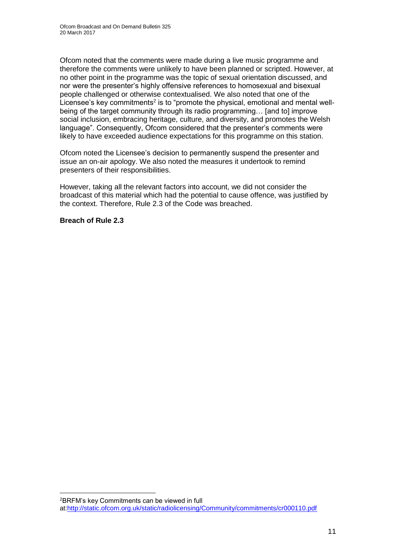Ofcom noted that the comments were made during a live music programme and therefore the comments were unlikely to have been planned or scripted. However, at no other point in the programme was the topic of sexual orientation discussed, and nor were the presenter's highly offensive references to homosexual and bisexual people challenged or otherwise contextualised. We also noted that one of the Licensee's key commitments<sup>2</sup> is to "promote the physical, emotional and mental wellbeing of the target community through its radio programming… [and to] improve social inclusion, embracing heritage, culture, and diversity, and promotes the Welsh language". Consequently, Ofcom considered that the presenter's comments were likely to have exceeded audience expectations for this programme on this station.

Ofcom noted the Licensee's decision to permanently suspend the presenter and issue an on-air apology. We also noted the measures it undertook to remind presenters of their responsibilities.

However, taking all the relevant factors into account, we did not consider the broadcast of this material which had the potential to cause offence, was justified by the context. Therefore, Rule 2.3 of the Code was breached.

**Breach of Rule 2.3**

1

<sup>2</sup>BRFM's key Commitments can be viewed in full at[:http://static.ofcom.org.uk/static/radiolicensing/Community/commitments/cr000110.pdf](http://static.ofcom.org.uk/static/radiolicensing/Community/commitments/cr000110.pdf)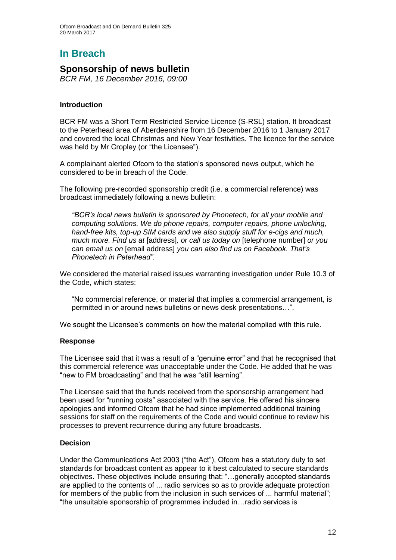# **In Breach**

### **Sponsorship of news bulletin**

*BCR FM, 16 December 2016, 09:00*

#### **Introduction**

BCR FM was a Short Term Restricted Service Licence (S-RSL) station. It broadcast to the Peterhead area of Aberdeenshire from 16 December 2016 to 1 January 2017 and covered the local Christmas and New Year festivities. The licence for the service was held by Mr Cropley (or "the Licensee").

A complainant alerted Ofcom to the station's sponsored news output, which he considered to be in breach of the Code.

The following pre-recorded sponsorship credit (i.e. a commercial reference) was broadcast immediately following a news bulletin:

*"BCR's local news bulletin is sponsored by Phonetech, for all your mobile and computing solutions. We do phone repairs, computer repairs, phone unlocking, hand-free kits, top-up SIM cards and we also supply stuff for e-cigs and much, much more. Find us at* [address]*, or call us today on* [telephone number] *or you can email us on* [email address] *you can also find us on Facebook. That's Phonetech in Peterhead".*

We considered the material raised issues warranting investigation under Rule 10.3 of the Code, which states:

"No commercial reference, or material that implies a commercial arrangement, is permitted in or around news bulletins or news desk presentations…".

We sought the Licensee's comments on how the material complied with this rule.

#### **Response**

The Licensee said that it was a result of a "genuine error" and that he recognised that this commercial reference was unacceptable under the Code. He added that he was "new to FM broadcasting" and that he was "still learning".

The Licensee said that the funds received from the sponsorship arrangement had been used for "running costs" associated with the service. He offered his sincere apologies and informed Ofcom that he had since implemented additional training sessions for staff on the requirements of the Code and would continue to review his processes to prevent recurrence during any future broadcasts.

#### **Decision**

Under the Communications Act 2003 ("the Act"), Ofcom has a statutory duty to set standards for broadcast content as appear to it best calculated to secure standards objectives. These objectives include ensuring that: "…generally accepted standards are applied to the contents of ... radio services so as to provide adequate protection for members of the public from the inclusion in such services of ... harmful material"; "the unsuitable sponsorship of programmes included in…radio services is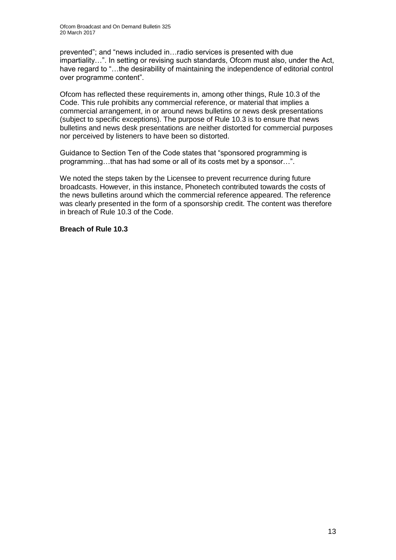prevented"; and "news included in…radio services is presented with due impartiality…". In setting or revising such standards, Ofcom must also, under the Act, have regard to "...the desirability of maintaining the independence of editorial control over programme content".

Ofcom has reflected these requirements in, among other things, Rule 10.3 of the Code. This rule prohibits any commercial reference, or material that implies a commercial arrangement, in or around news bulletins or news desk presentations (subject to specific exceptions). The purpose of Rule 10.3 is to ensure that news bulletins and news desk presentations are neither distorted for commercial purposes nor perceived by listeners to have been so distorted.

Guidance to Section Ten of the Code states that "sponsored programming is programming…that has had some or all of its costs met by a sponsor…".

We noted the steps taken by the Licensee to prevent recurrence during future broadcasts. However, in this instance, Phonetech contributed towards the costs of the news bulletins around which the commercial reference appeared. The reference was clearly presented in the form of a sponsorship credit. The content was therefore in breach of Rule 10.3 of the Code.

#### **Breach of Rule 10.3**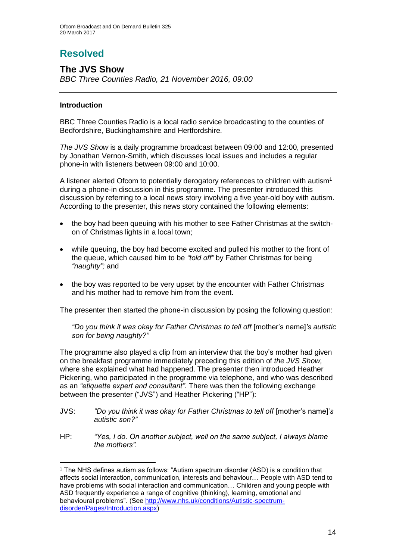# **Resolved**

### **The JVS Show** *BBC Three Counties Radio, 21 November 2016, 09:00*

#### **Introduction**

1

BBC Three Counties Radio is a local radio service broadcasting to the counties of Bedfordshire, Buckinghamshire and Hertfordshire.

*The JVS Show* is a daily programme broadcast between 09:00 and 12:00, presented by Jonathan Vernon-Smith, which discusses local issues and includes a regular phone-in with listeners between 09:00 and 10:00.

A listener alerted Ofcom to potentially derogatory references to children with autism<sup>1</sup> during a phone-in discussion in this programme. The presenter introduced this discussion by referring to a local news story involving a five year-old boy with autism. According to the presenter, this news story contained the following elements:

- the boy had been queuing with his mother to see Father Christmas at the switchon of Christmas lights in a local town;
- while queuing, the boy had become excited and pulled his mother to the front of the queue, which caused him to be *"told off"* by Father Christmas for being *"naughty";* and
- the boy was reported to be very upset by the encounter with Father Christmas and his mother had to remove him from the event.

The presenter then started the phone-in discussion by posing the following question:

*"Do you think it was okay for Father Christmas to tell off* [mother's name]*'s autistic son for being naughty?"*

The programme also played a clip from an interview that the boy's mother had given on the breakfast programme immediately preceding this edition of *the JVS Show,*  where she explained what had happened. The presenter then introduced Heather Pickering, who participated in the programme via telephone, and who was described as an *"etiquette expert and consultant".* There was then the following exchange between the presenter ("JVS") and Heather Pickering ("HP"):

- JVS: *"Do you think it was okay for Father Christmas to tell off* [mother's name]*'s autistic son?"*
- HP: *"Yes, I do. On another subject, well on the same subject, I always blame the mothers".*

<sup>1</sup> The NHS defines autism as follows: "Autism spectrum disorder (ASD) is a condition that affects social interaction, communication, interests and behaviour… People with ASD tend to have problems with social interaction and communication… Children and young people with ASD frequently experience a range of cognitive (thinking), learning, emotional and behavioural problems". (See [http://www.nhs.uk/conditions/Autistic-spectrum](http://www.nhs.uk/conditions/Autistic-spectrum-disorder/Pages/Introduction.aspx)[disorder/Pages/Introduction.aspx\)](http://www.nhs.uk/conditions/Autistic-spectrum-disorder/Pages/Introduction.aspx)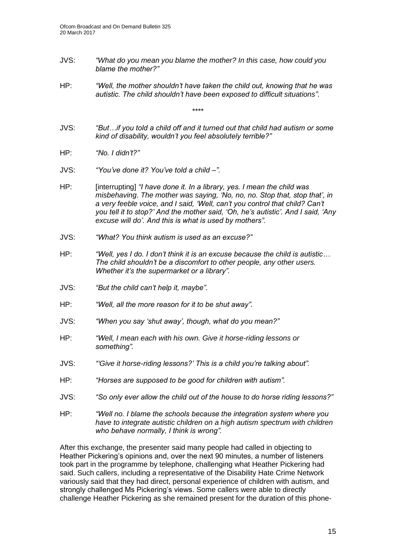- JVS: *"What do you mean you blame the mother? In this case, how could you blame the mother?"*
- HP: *"Well, the mother shouldn't have taken the child out, knowing that he was autistic. The child shouldn't have been exposed to difficult situations"*.

\*\*\*\*

- JVS: *"But…if you told a child off and it turned out that child had autism or some kind of disability, wouldn't you feel absolutely terrible?"*
- HP: *"No. I didn't?"*
- JVS: *"You've done it? You've told a child –".*
- HP: [interrupting] *"I have done it. In a library, yes. I mean the child was misbehaving. The mother was saying, 'No, no, no. Stop that, stop that', in a very feeble voice, and I said, 'Well, can't you control that child? Can't you tell it to stop?' And the mother said, 'Oh, he's autistic'. And I said, 'Any excuse will do'. And this is what is used by mothers".*
- JVS: *"What? You think autism is used as an excuse?"*
- HP: *"Well, yes I do. I don't think it is an excuse because the child is autistic… The child shouldn't be a discomfort to other people, any other users. Whether it's the supermarket or a library".*
- JVS: *"But the child can't help it, maybe".*
- HP: *"Well, all the more reason for it to be shut away".*
- JVS: *"When you say 'shut away', though, what do you mean?"*
- HP: *"Well, I mean each with his own. Give it horse-riding lessons or something".*
- JVS: *"'Give it horse-riding lessons?' This is a child you're talking about".*
- HP: *"Horses are supposed to be good for children with autism".*
- JVS: *"So only ever allow the child out of the house to do horse riding lessons?"*
- HP: *"Well no. I blame the schools because the integration system where you have to integrate autistic children on a high autism spectrum with children who behave normally, I think is wrong".*

After this exchange, the presenter said many people had called in objecting to Heather Pickering's opinions and, over the next 90 minutes, a number of listeners took part in the programme by telephone, challenging what Heather Pickering had said. Such callers, including a representative of the Disability Hate Crime Network variously said that they had direct, personal experience of children with autism, and strongly challenged Ms Pickering's views. Some callers were able to directly challenge Heather Pickering as she remained present for the duration of this phone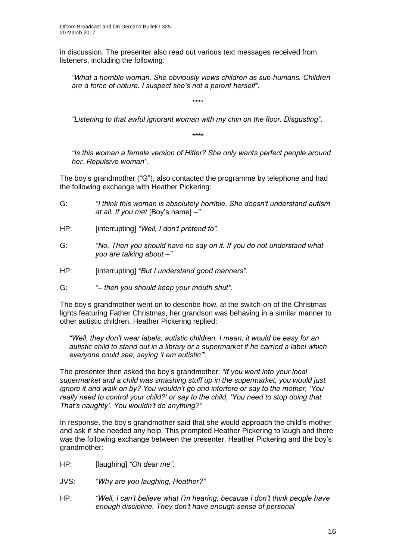in discussion. The presenter also read out various text messages received from listeners, including the following:

*"What a horrible woman. She obviously views children as sub-humans. Children are a force of nature. I suspect she's not a parent herself".*

\*\*\*\*

*"Listening to that awful ignorant woman with my chin on the floor. Disgusting"*.

\*\*\*\*

*"Is this woman a female version of Hitler? She only wants perfect people around her. Repulsive woman".*

The boy's grandmother ("G"), also contacted the programme by telephone and had the following exchange with Heather Pickering:

- G: *"I think this woman is absolutely horrible. She doesn't understand autism at all. If you met* [Boy's name] *–"*
- HP: [interrupting] *"Well, I don't pretend to".*
- G: *"No. Then you should have no say on it. If you do not understand what you are talking about –"*
- HP: [interrupting] *"But I understand good manners"*.

G: *"– then you should keep your mouth shut".*

The boy's grandmother went on to describe how, at the switch-on of the Christmas lights featuring Father Christmas, her grandson was behaving in a similar manner to other autistic children. Heather Pickering replied:

*"Well, they don't wear labels, autistic children. I mean, it would be easy for an autistic child to stand out in a library or a supermarket if he carried a label which everyone could see, saying 'I am autistic'".*

The presenter then asked the boy's grandmother: *"If you went into your local supermarket and a child was smashing stuff up in the supermarket, you would just ignore it and walk on by? You wouldn't go and interfere or say to the mother, 'You really need to control your child?' or say to the child, 'You need to stop doing that. That's naughty'. You wouldn't do anything?"*

In response, the boy's grandmother said that she would approach the child's mother and ask if she needed any help. This prompted Heather Pickering to laugh and there was the following exchange between the presenter, Heather Pickering and the boy's grandmother:

- HP: [laughing] *"Oh dear me".*
- JVS: *"Why are you laughing, Heather?"*
- HP: *"Well, I can't believe what I'm hearing, because I don't think people have enough discipline. They don't have enough sense of personal*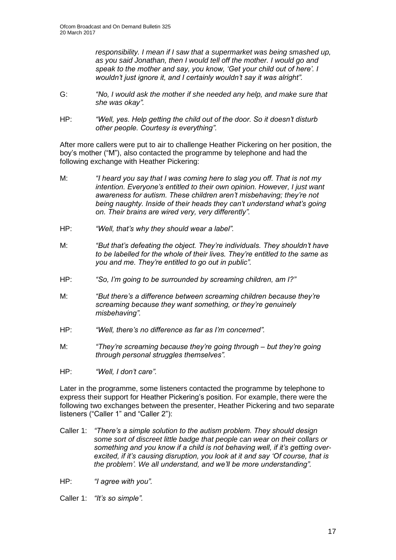*responsibility. I mean if I saw that a supermarket was being smashed up, as you said Jonathan, then I would tell off the mother. I would go and speak to the mother and say, you know, 'Get your child out of here'. I wouldn't just ignore it, and I certainly wouldn't say it was alright".*

- G: *"No, I would ask the mother if she needed any help, and make sure that she was okay".*
- HP: *"Well, yes. Help getting the child out of the door. So it doesn't disturb other people. Courtesy is everything".*

After more callers were put to air to challenge Heather Pickering on her position, the boy's mother ("M"), also contacted the programme by telephone and had the following exchange with Heather Pickering:

- M: *"I heard you say that I was coming here to slag you off. That is not my intention. Everyone's entitled to their own opinion. However, I just want awareness for autism. These children aren't misbehaving; they're not being naughty. Inside of their heads they can't understand what's going on. Their brains are wired very, very differently".*
- HP: *"Well, that's why they should wear a label".*
- M: *"But that's defeating the object. They're individuals. They shouldn't have to be labelled for the whole of their lives. They're entitled to the same as you and me. They're entitled to go out in public".*
- HP: *"So, I'm going to be surrounded by screaming children, am I?"*
- M: *"But there's a difference between screaming children because they're screaming because they want something, or they're genuinely misbehaving".*
- HP: *"Well, there's no difference as far as I'm concerned".*
- M: *"They're screaming because they're going through – but they're going through personal struggles themselves".*
- HP: *"Well, I don't care".*

Later in the programme, some listeners contacted the programme by telephone to express their support for Heather Pickering's position. For example, there were the following two exchanges between the presenter, Heather Pickering and two separate listeners ("Caller 1" and "Caller 2"):

- Caller 1: *"There's a simple solution to the autism problem. They should design some sort of discreet little badge that people can wear on their collars or something and you know if a child is not behaving well, if it's getting overexcited, if it's causing disruption, you look at it and say 'Of course, that is the problem'. We all understand, and we'll be more understanding".*
- HP: *"I agree with you".*

Caller 1: *"It's so simple".*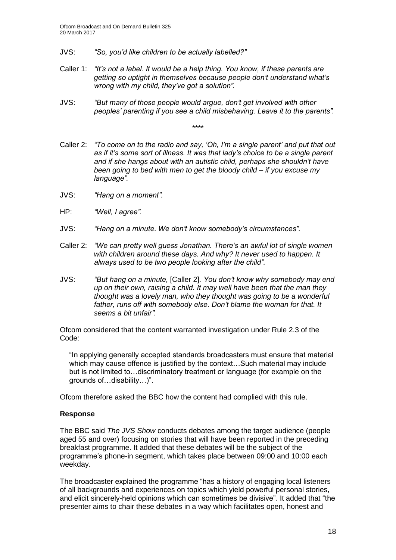- JVS: *"So, you'd like children to be actually labelled?"*
- Caller 1: *"It's not a label. It would be a help thing. You know, if these parents are getting so uptight in themselves because people don't understand what's wrong with my child, they've got a solution".*
- JVS: *"But many of those people would argue, don't get involved with other peoples' parenting if you see a child misbehaving. Leave it to the parents".*

\*\*\*\*

- Caller 2: *"To come on to the radio and say, 'Oh, I'm a single parent' and put that out as if it's some sort of illness. It was that lady's choice to be a single parent and if she hangs about with an autistic child, perhaps she shouldn't have been going to bed with men to get the bloody child – if you excuse my language".*
- JVS: *"Hang on a moment".*
- HP: *"Well, I agree".*
- JVS: *"Hang on a minute. We don't know somebody's circumstances".*
- Caller 2: *"We can pretty well guess Jonathan. There's an awful lot of single women with children around these days. And why? It never used to happen. It always used to be two people looking after the child".*
- JVS: *"But hang on a minute,* [Caller 2]*. You don't know why somebody may end up on their own, raising a child. It may well have been that the man they thought was a lovely man, who they thought was going to be a wonderful father, runs off with somebody else. Don't blame the woman for that. It seems a bit unfair".*

Ofcom considered that the content warranted investigation under Rule 2.3 of the Code:

"In applying generally accepted standards broadcasters must ensure that material which may cause offence is justified by the context…Such material may include but is not limited to…discriminatory treatment or language (for example on the grounds of…disability…)".

Ofcom therefore asked the BBC how the content had complied with this rule.

#### **Response**

The BBC said *The JVS Show* conducts debates among the target audience (people aged 55 and over) focusing on stories that will have been reported in the preceding breakfast programme. It added that these debates will be the subject of the programme's phone-in segment, which takes place between 09:00 and 10:00 each weekday.

The broadcaster explained the programme "has a history of engaging local listeners of all backgrounds and experiences on topics which yield powerful personal stories, and elicit sincerely-held opinions which can sometimes be divisive". It added that "the presenter aims to chair these debates in a way which facilitates open, honest and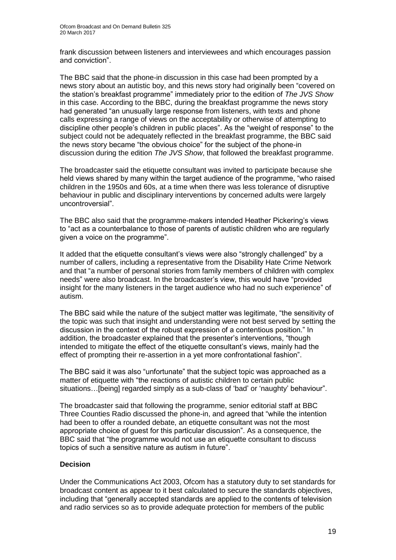frank discussion between listeners and interviewees and which encourages passion and conviction".

The BBC said that the phone-in discussion in this case had been prompted by a news story about an autistic boy, and this news story had originally been "covered on the station's breakfast programme" immediately prior to the edition of *The JVS Show* in this case. According to the BBC, during the breakfast programme the news story had generated "an unusually large response from listeners, with texts and phone calls expressing a range of views on the acceptability or otherwise of attempting to discipline other people's children in public places". As the "weight of response" to the subject could not be adequately reflected in the breakfast programme, the BBC said the news story became "the obvious choice" for the subject of the phone-in discussion during the edition *The JVS Show*, that followed the breakfast programme.

The broadcaster said the etiquette consultant was invited to participate because she held views shared by many within the target audience of the programme, "who raised children in the 1950s and 60s, at a time when there was less tolerance of disruptive behaviour in public and disciplinary interventions by concerned adults were largely uncontroversial".

The BBC also said that the programme-makers intended Heather Pickering's views to "act as a counterbalance to those of parents of autistic children who are regularly given a voice on the programme".

It added that the etiquette consultant's views were also "strongly challenged" by a number of callers, including a representative from the Disability Hate Crime Network and that "a number of personal stories from family members of children with complex needs" were also broadcast. In the broadcaster's view, this would have "provided insight for the many listeners in the target audience who had no such experience" of autism.

The BBC said while the nature of the subject matter was legitimate, "the sensitivity of the topic was such that insight and understanding were not best served by setting the discussion in the context of the robust expression of a contentious position." In addition, the broadcaster explained that the presenter's interventions, "though intended to mitigate the effect of the etiquette consultant's views, mainly had the effect of prompting their re-assertion in a yet more confrontational fashion".

The BBC said it was also "unfortunate" that the subject topic was approached as a matter of etiquette with "the reactions of autistic children to certain public situations…[being] regarded simply as a sub-class of 'bad' or 'naughty' behaviour".

The broadcaster said that following the programme, senior editorial staff at BBC Three Counties Radio discussed the phone-in, and agreed that "while the intention had been to offer a rounded debate, an etiquette consultant was not the most appropriate choice of guest for this particular discussion". As a consequence, the BBC said that "the programme would not use an etiquette consultant to discuss topics of such a sensitive nature as autism in future".

#### **Decision**

Under the Communications Act 2003, Ofcom has a statutory duty to set standards for broadcast content as appear to it best calculated to secure the standards objectives, including that "generally accepted standards are applied to the contents of television and radio services so as to provide adequate protection for members of the public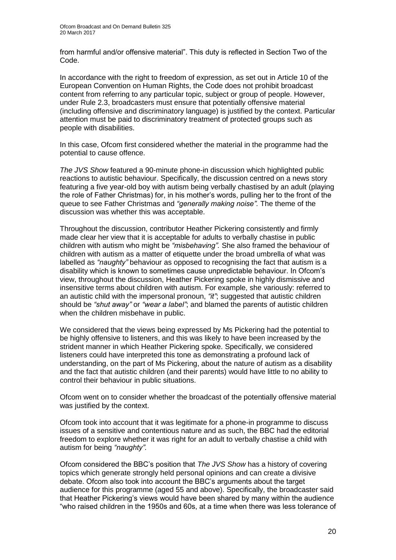from harmful and/or offensive material". This duty is reflected in Section Two of the Code.

In accordance with the right to freedom of expression, as set out in Article 10 of the European Convention on Human Rights, the Code does not prohibit broadcast content from referring to any particular topic, subject or group of people. However, under Rule 2.3, broadcasters must ensure that potentially offensive material (including offensive and discriminatory language) is justified by the context. Particular attention must be paid to discriminatory treatment of protected groups such as people with disabilities.

In this case, Ofcom first considered whether the material in the programme had the potential to cause offence.

*The JVS Show* featured a 90-minute phone-in discussion which highlighted public reactions to autistic behaviour. Specifically, the discussion centred on a news story featuring a five year-old boy with autism being verbally chastised by an adult (playing the role of Father Christmas) for, in his mother's words, pulling her to the front of the queue to see Father Christmas and *"generally making noise".* The theme of the discussion was whether this was acceptable.

Throughout the discussion, contributor Heather Pickering consistently and firmly made clear her view that it is acceptable for adults to verbally chastise in public children with autism who might be *"misbehaving".* She also framed the behaviour of children with autism as a matter of etiquette under the broad umbrella of what was labelled as *"naughty"* behaviour as opposed to recognising the fact that autism is a disability which is known to sometimes cause unpredictable behaviour. In Ofcom's view, throughout the discussion, Heather Pickering spoke in highly dismissive and insensitive terms about children with autism. For example, she variously: referred to an autistic child with the impersonal pronoun, *"it"*; suggested that autistic children should be *"shut away"* or *"wear a label"*; and blamed the parents of autistic children when the children misbehave in public.

We considered that the views being expressed by Ms Pickering had the potential to be highly offensive to listeners, and this was likely to have been increased by the strident manner in which Heather Pickering spoke. Specifically, we considered listeners could have interpreted this tone as demonstrating a profound lack of understanding, on the part of Ms Pickering, about the nature of autism as a disability and the fact that autistic children (and their parents) would have little to no ability to control their behaviour in public situations.

Ofcom went on to consider whether the broadcast of the potentially offensive material was justified by the context.

Ofcom took into account that it was legitimate for a phone-in programme to discuss issues of a sensitive and contentious nature and as such, the BBC had the editorial freedom to explore whether it was right for an adult to verbally chastise a child with autism for being *"naughty".*

Ofcom considered the BBC's position that *The JVS Show* has a history of covering topics which generate strongly held personal opinions and can create a divisive debate. Ofcom also took into account the BBC's arguments about the target audience for this programme (aged 55 and above). Specifically, the broadcaster said that Heather Pickering's views would have been shared by many within the audience "who raised children in the 1950s and 60s, at a time when there was less tolerance of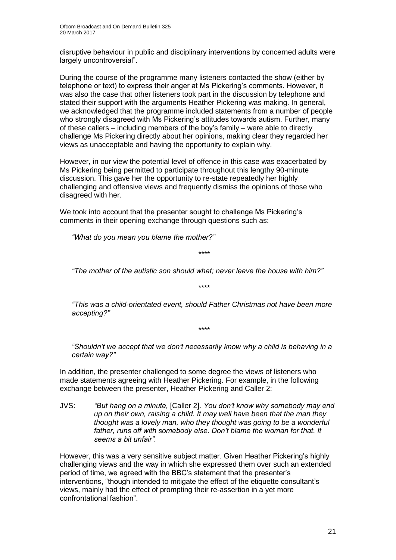disruptive behaviour in public and disciplinary interventions by concerned adults were largely uncontroversial".

During the course of the programme many listeners contacted the show (either by telephone or text) to express their anger at Ms Pickering's comments. However, it was also the case that other listeners took part in the discussion by telephone and stated their support with the arguments Heather Pickering was making. In general, we acknowledged that the programme included statements from a number of people who strongly disagreed with Ms Pickering's attitudes towards autism. Further, many of these callers – including members of the boy's family – were able to directly challenge Ms Pickering directly about her opinions, making clear they regarded her views as unacceptable and having the opportunity to explain why.

However, in our view the potential level of offence in this case was exacerbated by Ms Pickering being permitted to participate throughout this lengthy 90-minute discussion. This gave her the opportunity to re-state repeatedly her highly challenging and offensive views and frequently dismiss the opinions of those who disagreed with her.

We took into account that the presenter sought to challenge Ms Pickering's comments in their opening exchange through questions such as:

*"What do you mean you blame the mother?"*

*"The mother of the autistic son should what; never leave the house with him?"*

*"This was a child-orientated event, should Father Christmas not have been more accepting?"*

*\*\*\*\**

*\*\*\*\**

*\*\*\*\**

*"Shouldn't we accept that we don't necessarily know why a child is behaving in a certain way?"*

In addition, the presenter challenged to some degree the views of listeners who made statements agreeing with Heather Pickering. For example, in the following exchange between the presenter, Heather Pickering and Caller 2:

JVS: *"But hang on a minute,* [Caller 2]*. You don't know why somebody may end up on their own, raising a child. It may well have been that the man they thought was a lovely man, who they thought was going to be a wonderful father, runs off with somebody else. Don't blame the woman for that. It seems a bit unfair".*

However, this was a very sensitive subject matter. Given Heather Pickering's highly challenging views and the way in which she expressed them over such an extended period of time, we agreed with the BBC's statement that the presenter's interventions, "though intended to mitigate the effect of the etiquette consultant's views, mainly had the effect of prompting their re-assertion in a yet more confrontational fashion".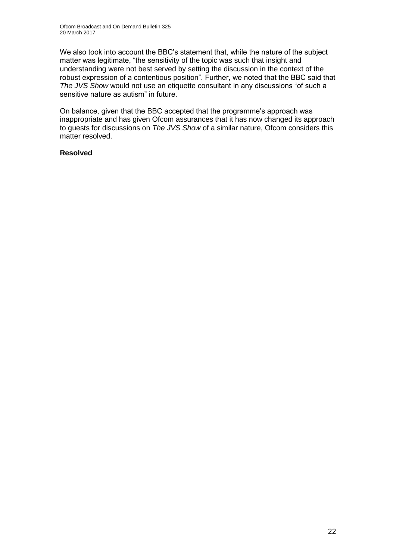We also took into account the BBC's statement that, while the nature of the subject matter was legitimate, "the sensitivity of the topic was such that insight and understanding were not best served by setting the discussion in the context of the robust expression of a contentious position". Further, we noted that the BBC said that *The JVS Show* would not use an etiquette consultant in any discussions "of such a sensitive nature as autism" in future.

On balance, given that the BBC accepted that the programme's approach was inappropriate and has given Ofcom assurances that it has now changed its approach to guests for discussions on *The JVS Show* of a similar nature, Ofcom considers this matter resolved.

#### **Resolved**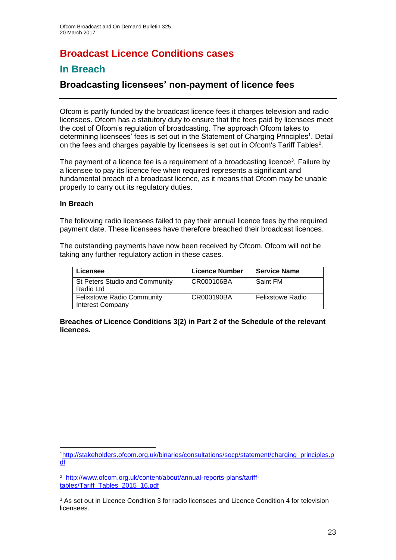# **Broadcast Licence Conditions cases**

### **In Breach**

### **Broadcasting licensees' non-payment of licence fees**

Ofcom is partly funded by the broadcast licence fees it charges television and radio licensees. Ofcom has a statutory duty to ensure that the fees paid by licensees meet the cost of Ofcom's regulation of broadcasting. The approach Ofcom takes to determining licensees' fees is set out in the Statement of Charging Principles<sup>1</sup>. Detail on the fees and charges payable by licensees is set out in Ofcom's Tariff Tables<sup>2</sup>.

The payment of a licence fee is a requirement of a broadcasting licence<sup>3</sup>. Failure by a licensee to pay its licence fee when required represents a significant and fundamental breach of a broadcast licence, as it means that Ofcom may be unable properly to carry out its regulatory duties.

#### **In Breach**

1

The following radio licensees failed to pay their annual licence fees by the required payment date. These licensees have therefore breached their broadcast licences.

The outstanding payments have now been received by Ofcom. Ofcom will not be taking any further regulatory action in these cases.

| Licensee                                                     | <b>Licence Number</b> | <b>Service Name</b>     |
|--------------------------------------------------------------|-----------------------|-------------------------|
| <b>St Peters Studio and Community</b><br>Radio Ltd           | CR000106BA            | Saint FM                |
| <b>Felixstowe Radio Community</b><br><b>Interest Company</b> | CR000190BA            | <b>Felixstowe Radio</b> |

#### **Breaches of Licence Conditions 3(2) in Part 2 of the Schedule of the relevant licences.**

<sup>1</sup>[http://stakeholders.ofcom.org.uk/binaries/consultations/socp/statement/charging\\_principles.p](http://stakeholders.ofcom.org.uk/binaries/consultations/socp/statement/charging_principles.pdf) [df](http://stakeholders.ofcom.org.uk/binaries/consultations/socp/statement/charging_principles.pdf)

<sup>2</sup> [http://www.ofcom.org.uk/content/about/annual-reports-plans/tariff](http://www.ofcom.org.uk/content/about/annual-reports-plans/tariff-tables/Tariff_Tables_2015_16.pdf)[tables/Tariff\\_Tables\\_2015\\_16.pdf](http://www.ofcom.org.uk/content/about/annual-reports-plans/tariff-tables/Tariff_Tables_2015_16.pdf)

<sup>&</sup>lt;sup>3</sup> As set out in Licence Condition 3 for radio licensees and Licence Condition 4 for television licensees.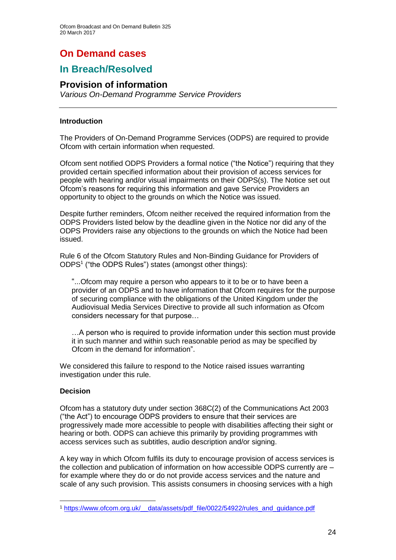# **On Demand cases**

### **In Breach/Resolved**

### **Provision of information**

*Various On-Demand Programme Service Providers*

#### **Introduction**

The Providers of On-Demand Programme Services (ODPS) are required to provide Ofcom with certain information when requested.

Ofcom sent notified ODPS Providers a formal notice ("the Notice") requiring that they provided certain specified information about their provision of access services for people with hearing and/or visual impairments on their ODPS(s). The Notice set out Ofcom's reasons for requiring this information and gave Service Providers an opportunity to object to the grounds on which the Notice was issued.

Despite further reminders, Ofcom neither received the required information from the ODPS Providers listed below by the deadline given in the Notice nor did any of the ODPS Providers raise any objections to the grounds on which the Notice had been issued.

Rule 6 of the Ofcom Statutory Rules and Non-Binding Guidance for Providers of ODPS<sup>1</sup> ("the ODPS Rules") states (amongst other things):

"...Ofcom may require a person who appears to it to be or to have been a provider of an ODPS and to have information that Ofcom requires for the purpose of securing compliance with the obligations of the United Kingdom under the Audiovisual Media Services Directive to provide all such information as Ofcom considers necessary for that purpose…

…A person who is required to provide information under this section must provide it in such manner and within such reasonable period as may be specified by Ofcom in the demand for information".

We considered this failure to respond to the Notice raised issues warranting investigation under this rule.

#### **Decision**

1

Ofcom has a statutory duty under section 368C(2) of the Communications Act 2003 ("the Act") to encourage ODPS providers to ensure that their services are progressively made more accessible to people with disabilities affecting their sight or hearing or both. ODPS can achieve this primarily by providing programmes with access services such as subtitles, audio description and/or signing.

A key way in which Ofcom fulfils its duty to encourage provision of access services is the collection and publication of information on how accessible ODPS currently are – for example where they do or do not provide access services and the nature and scale of any such provision. This assists consumers in choosing services with a high

<sup>1</sup> [https://www.ofcom.org.uk/\\_\\_data/assets/pdf\\_file/0022/54922/rules\\_and\\_guidance.pdf](https://www.ofcom.org.uk/__data/assets/pdf_file/0022/54922/rules_and_guidance.pdf)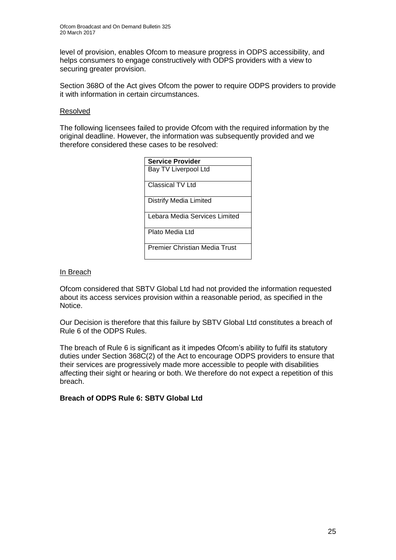level of provision, enables Ofcom to measure progress in ODPS accessibility, and helps consumers to engage constructively with ODPS providers with a view to securing greater provision.

Section 368O of the Act gives Ofcom the power to require ODPS providers to provide it with information in certain circumstances.

#### Resolved

The following licensees failed to provide Ofcom with the required information by the original deadline. However, the information was subsequently provided and we therefore considered these cases to be resolved:

| <b>Service Provider</b>       |
|-------------------------------|
| Bay TV Liverpool Ltd          |
| Classical TV Ltd              |
| Distrify Media Limited        |
| Lebara Media Services Limited |
| Plato Media Ltd               |
| Premier Christian Media Trust |

#### In Breach

Ofcom considered that SBTV Global Ltd had not provided the information requested about its access services provision within a reasonable period, as specified in the Notice.

Our Decision is therefore that this failure by SBTV Global Ltd constitutes a breach of Rule 6 of the ODPS Rules.

The breach of Rule 6 is significant as it impedes Ofcom's ability to fulfil its statutory duties under Section 368C(2) of the Act to encourage ODPS providers to ensure that their services are progressively made more accessible to people with disabilities affecting their sight or hearing or both. We therefore do not expect a repetition of this breach.

#### **Breach of ODPS Rule 6: SBTV Global Ltd**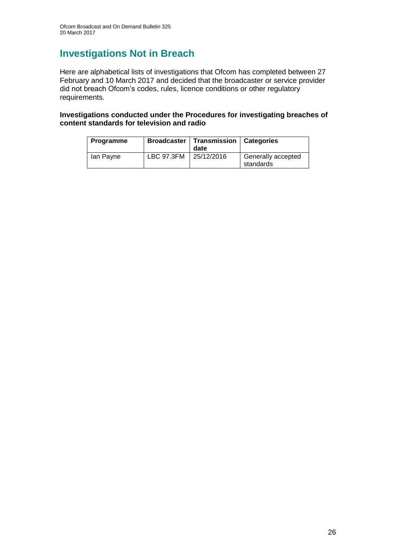### **Investigations Not in Breach**

Here are alphabetical lists of investigations that Ofcom has completed between 27 February and 10 March 2017 and decided that the broadcaster or service provider did not breach Ofcom's codes, rules, licence conditions or other regulatory requirements.

**Investigations conducted under the Procedures for investigating breaches of content standards for television and radio**

| <b>Programme</b> |            | Broadcaster   Transmission   Categories<br>date |                                 |
|------------------|------------|-------------------------------------------------|---------------------------------|
| lan Payne        | LBC 97.3FM | 25/12/2016                                      | Generally accepted<br>standards |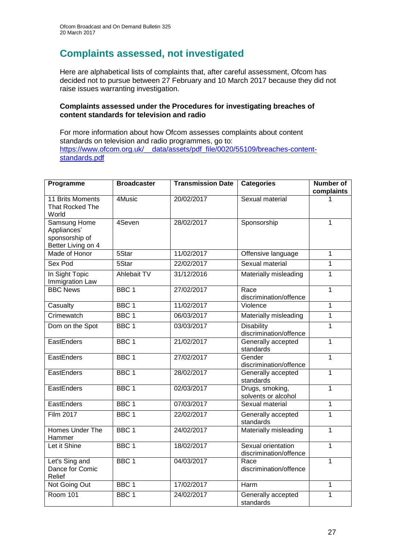### **Complaints assessed, not investigated**

Here are alphabetical lists of complaints that, after careful assessment, Ofcom has decided not to pursue between 27 February and 10 March 2017 because they did not raise issues warranting investigation.

#### **Complaints assessed under the Procedures for investigating breaches of content standards for television and radio**

For more information about how Ofcom assesses complaints about content standards on television and radio programmes, go to: [https://www.ofcom.org.uk/\\_\\_data/assets/pdf\\_file/0020/55109/breaches-content](https://www.ofcom.org.uk/__data/assets/pdf_file/0020/55109/breaches-content-standards.pdf)[standards.pdf](https://www.ofcom.org.uk/__data/assets/pdf_file/0020/55109/breaches-content-standards.pdf)

| Programme                                                                  | <b>Broadcaster</b> | <b>Transmission Date</b> | <b>Categories</b>                            | <b>Number of</b><br>complaints |
|----------------------------------------------------------------------------|--------------------|--------------------------|----------------------------------------------|--------------------------------|
| 11 Brits Moments<br>That Rocked The<br>World                               | 4Music             | 20/02/2017               | Sexual material                              | 1                              |
| <b>Samsung Home</b><br>Appliances'<br>sponsorship of<br>Better Living on 4 | 4Seven             | 28/02/2017               | Sponsorship                                  | $\mathbf{1}$                   |
| Made of Honor                                                              | 5Star              | 11/02/2017               | Offensive language                           | 1                              |
| Sex Pod                                                                    | 5Star              | 22/02/2017               | Sexual material                              | $\mathbf{1}$                   |
| In Sight Topic<br>Immigration Law                                          | <b>Ahlebait TV</b> | 31/12/2016               | Materially misleading                        | $\mathbf{1}$                   |
| <b>BBC News</b>                                                            | BBC <sub>1</sub>   | 27/02/2017               | Race<br>discrimination/offence               | $\mathbf{1}$                   |
| Casualty                                                                   | BBC <sub>1</sub>   | 11/02/2017               | Violence                                     | $\overline{1}$                 |
| Crimewatch                                                                 | BBC <sub>1</sub>   | 06/03/2017               | Materially misleading                        | $\mathbf 1$                    |
| Dom on the Spot                                                            | BBC <sub>1</sub>   | 03/03/2017               | <b>Disability</b><br>discrimination/offence  | $\mathbf{1}$                   |
| EastEnders                                                                 | BBC <sub>1</sub>   | 21/02/2017               | Generally accepted<br>standards              | 1                              |
| EastEnders                                                                 | BBC <sub>1</sub>   | 27/02/2017               | Gender<br>discrimination/offence             | $\mathbf{1}$                   |
| EastEnders                                                                 | BBC <sub>1</sub>   | 28/02/2017               | Generally accepted<br>standards              | $\mathbf{1}$                   |
| EastEnders                                                                 | BBC <sub>1</sub>   | 02/03/2017               | Drugs, smoking,<br>solvents or alcohol       | $\mathbf{1}$                   |
| EastEnders                                                                 | BBC <sub>1</sub>   | 07/03/2017               | Sexual material                              | $\mathbf{1}$                   |
| Film 2017                                                                  | BBC <sub>1</sub>   | 22/02/2017               | Generally accepted<br>standards              | 1                              |
| <b>Homes Under The</b><br>Hammer                                           | BBC <sub>1</sub>   | 24/02/2017               | Materially misleading                        | $\overline{1}$                 |
| Let it Shine                                                               | BBC <sub>1</sub>   | 18/02/2017               | Sexual orientation<br>discrimination/offence | $\mathbf{1}$                   |
| Let's Sing and<br>Dance for Comic<br>Relief                                | BBC <sub>1</sub>   | 04/03/2017               | Race<br>discrimination/offence               | $\mathbf{1}$                   |
| Not Going Out                                                              | BBC <sub>1</sub>   | 17/02/2017               | Harm                                         | 1                              |
| Room 101                                                                   | BBC <sub>1</sub>   | 24/02/2017               | Generally accepted<br>standards              | $\mathbf 1$                    |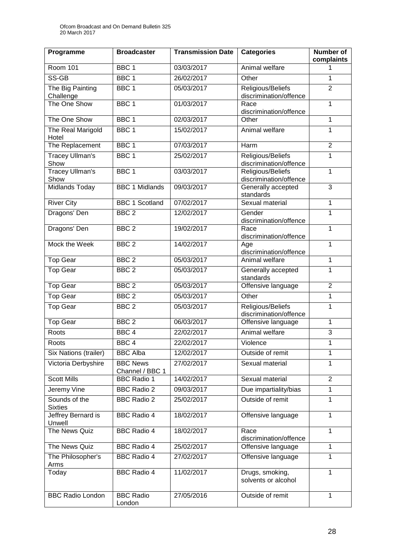| Programme                       | <b>Broadcaster</b>                 | <b>Transmission Date</b> | <b>Categories</b>                           | <b>Number of</b><br>complaints |
|---------------------------------|------------------------------------|--------------------------|---------------------------------------------|--------------------------------|
| <b>Room 101</b>                 | BBC <sub>1</sub>                   | 03/03/2017               | Animal welfare                              | 1                              |
| SS-GB                           | BBC <sub>1</sub>                   | 26/02/2017               | Other                                       | 1                              |
| The Big Painting<br>Challenge   | BBC <sub>1</sub>                   | 05/03/2017               | Religious/Beliefs<br>discrimination/offence | $\overline{2}$                 |
| The One Show                    | BBC <sub>1</sub>                   | 01/03/2017               | Race<br>discrimination/offence              | $\mathbf 1$                    |
| The One Show                    | BBC <sub>1</sub>                   | 02/03/2017               | Other                                       | 1                              |
| The Real Marigold<br>Hotel      | BBC <sub>1</sub>                   | 15/02/2017               | Animal welfare                              | 1                              |
| The Replacement                 | BBC <sub>1</sub>                   | 07/03/2017               | Harm                                        | $\overline{2}$                 |
| <b>Tracey Ullman's</b><br>Show  | BBC <sub>1</sub>                   | 25/02/2017               | Religious/Beliefs<br>discrimination/offence | 1                              |
| <b>Tracey Ullman's</b><br>Show  | BBC <sub>1</sub>                   | 03/03/2017               | Religious/Beliefs<br>discrimination/offence | 1                              |
| <b>Midlands Today</b>           | <b>BBC 1 Midlands</b>              | 09/03/2017               | Generally accepted<br>standards             | 3                              |
| <b>River City</b>               | <b>BBC 1 Scotland</b>              | 07/02/2017               | Sexual material                             | $\mathbf{1}$                   |
| Dragons' Den                    | BBC <sub>2</sub>                   | 12/02/2017               | Gender<br>discrimination/offence            | $\mathbf{1}$                   |
| Dragons' Den                    | BBC <sub>2</sub>                   | 19/02/2017               | Race<br>discrimination/offence              | $\mathbf{1}$                   |
| Mock the Week                   | BBC <sub>2</sub>                   | 14/02/2017               | Age<br>discrimination/offence               | $\mathbf{1}$                   |
| <b>Top Gear</b>                 | BBC <sub>2</sub>                   | 05/03/2017               | Animal welfare                              | 1                              |
| <b>Top Gear</b>                 | BBC <sub>2</sub>                   | 05/03/2017               | Generally accepted<br>standards             | 1                              |
| <b>Top Gear</b>                 | BBC <sub>2</sub>                   | 05/03/2017               | Offensive language                          | $\overline{2}$                 |
| <b>Top Gear</b>                 | BBC <sub>2</sub>                   | 05/03/2017               | Other                                       | 1                              |
| Top Gear                        | BBC <sub>2</sub>                   | 05/03/2017               | Religious/Beliefs<br>discrimination/offence | 1                              |
| <b>Top Gear</b>                 | BBC <sub>2</sub>                   | 06/03/2017               | Offensive language                          | 1                              |
| Roots                           | BBC <sub>4</sub>                   | 22/02/2017               | Animal welfare                              | 3                              |
| Roots                           | BBC <sub>4</sub>                   | 22/02/2017               | Violence                                    | 1                              |
| Six Nations (trailer)           | <b>BBC Alba</b>                    | 12/02/2017               | Outside of remit                            | 1                              |
| Victoria Derbyshire             | <b>BBC News</b><br>Channel / BBC 1 | 27/02/2017               | Sexual material                             | $\mathbf{1}$                   |
| <b>Scott Mills</b>              | <b>BBC Radio 1</b>                 | 14/02/2017               | Sexual material                             | $\overline{2}$                 |
| Jeremy Vine                     | <b>BBC Radio 2</b>                 | 09/03/2017               | Due impartiality/bias                       | $\mathbf{1}$                   |
| Sounds of the<br><b>Sixties</b> | <b>BBC Radio 2</b>                 | 25/02/2017               | Outside of remit                            | $\mathbf{1}$                   |
| Jeffrey Bernard is<br>Unwell    | <b>BBC Radio 4</b>                 | 18/02/2017               | Offensive language                          | $\mathbf{1}$                   |
| The News Quiz                   | <b>BBC Radio 4</b>                 | 18/02/2017               | Race<br>discrimination/offence              | 1                              |
| The News Quiz                   | <b>BBC Radio 4</b>                 | 25/02/2017               | Offensive language                          | $\mathbf{1}$                   |
| The Philosopher's<br>Arms       | <b>BBC Radio 4</b>                 | 27/02/2017               | Offensive language                          | 1                              |
| Today                           | <b>BBC Radio 4</b>                 | 11/02/2017               | Drugs, smoking,<br>solvents or alcohol      | $\mathbf{1}$                   |
| <b>BBC Radio London</b>         | <b>BBC Radio</b><br>London         | 27/05/2016               | Outside of remit                            | $\mathbf{1}$                   |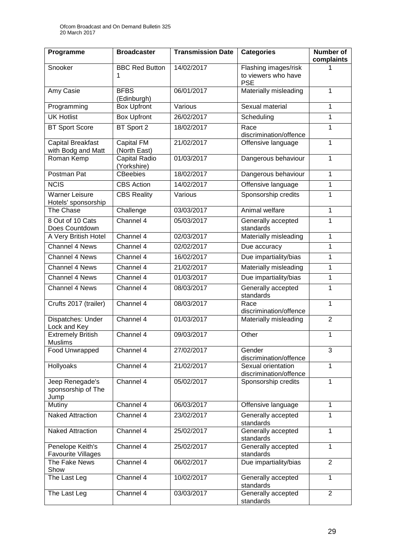| Programme                                      | <b>Broadcaster</b>           | <b>Transmission Date</b> | <b>Categories</b>                                         | <b>Number of</b><br>complaints |
|------------------------------------------------|------------------------------|--------------------------|-----------------------------------------------------------|--------------------------------|
| Snooker                                        | <b>BBC Red Button</b>        | 14/02/2017               | Flashing images/risk<br>to viewers who have<br><b>PSE</b> |                                |
| Amy Casie                                      | <b>BFBS</b><br>(Edinburgh)   | 06/01/2017               | Materially misleading                                     | 1                              |
| Programming                                    | <b>Box Upfront</b>           | Various                  | Sexual material                                           | 1                              |
| <b>UK Hotlist</b>                              | <b>Box Upfront</b>           | 26/02/2017               | Scheduling                                                | 1                              |
| <b>BT Sport Score</b>                          | BT Sport 2                   | 18/02/2017               | Race<br>discrimination/offence                            | 1                              |
| <b>Capital Breakfast</b><br>with Bodg and Matt | Capital FM<br>(North East)   | 21/02/2017               | Offensive language                                        | 1                              |
| Roman Kemp                                     | Capital Radio<br>(Yorkshire) | 01/03/2017               | Dangerous behaviour                                       | $\mathbf{1}$                   |
| Postman Pat                                    | <b>CBeebies</b>              | 18/02/2017               | Dangerous behaviour                                       | $\mathbf{1}$                   |
| <b>NCIS</b>                                    | <b>CBS Action</b>            | 14/02/2017               | Offensive language                                        | 1                              |
| <b>Warner Leisure</b><br>Hotels' sponsorship   | <b>CBS Reality</b>           | Various                  | Sponsorship credits                                       | 1                              |
| The Chase                                      | Challenge                    | 03/03/2017               | Animal welfare                                            | 1                              |
| 8 Out of 10 Cats<br>Does Countdown             | Channel 4                    | 05/03/2017               | Generally accepted<br>standards                           | 1                              |
| A Very British Hotel                           | Channel 4                    | 02/03/2017               | Materially misleading                                     | 1                              |
| Channel 4 News                                 | Channel 4                    | 02/02/2017               | Due accuracy                                              | 1                              |
| Channel 4 News                                 | Channel 4                    | 16/02/2017               | Due impartiality/bias                                     | 1                              |
| Channel 4 News                                 | Channel 4                    | 21/02/2017               | Materially misleading                                     | 1                              |
| Channel 4 News                                 | Channel 4                    | 01/03/2017               | Due impartiality/bias                                     | 1                              |
| Channel 4 News                                 | Channel 4                    | 08/03/2017               | Generally accepted<br>standards                           | 1                              |
| Crufts 2017 (trailer)                          | Channel 4                    | 08/03/2017               | Race<br>discrimination/offence                            | $\mathbf{1}$                   |
| Dispatches: Under<br>Lock and Key              | Channel 4                    | 01/03/2017               | Materially misleading                                     | $\overline{2}$                 |
| <b>Extremely British</b><br><b>Muslims</b>     | Channel 4                    | 09/03/2017               | Other                                                     | $\mathbf{1}$                   |
| Food Unwrapped                                 | Channel 4                    | 27/02/2017               | Gender<br>discrimination/offence                          | 3                              |
| Hollyoaks                                      | Channel 4                    | 21/02/2017               | Sexual orientation<br>discrimination/offence              | 1                              |
| Jeep Renegade's<br>sponsorship of The<br>Jump  | Channel 4                    | 05/02/2017               | Sponsorship credits                                       | 1                              |
| Mutiny                                         | Channel 4                    | 06/03/2017               | Offensive language                                        | $\mathbf{1}$                   |
| <b>Naked Attraction</b>                        | Channel 4                    | 23/02/2017               | Generally accepted<br>standards                           | $\mathbf{1}$                   |
| <b>Naked Attraction</b>                        | Channel 4                    | 25/02/2017               | Generally accepted<br>standards                           | 1                              |
| Penelope Keith's<br><b>Favourite Villages</b>  | Channel 4                    | 25/02/2017               | Generally accepted<br>standards                           | 1                              |
| The Fake News<br>Show                          | Channel 4                    | 06/02/2017               | Due impartiality/bias                                     | $\overline{2}$                 |
| The Last Leg                                   | Channel 4                    | 10/02/2017               | Generally accepted<br>standards                           | $\mathbf{1}$                   |
| The Last Leg                                   | Channel 4                    | 03/03/2017               | Generally accepted<br>standards                           | $\overline{2}$                 |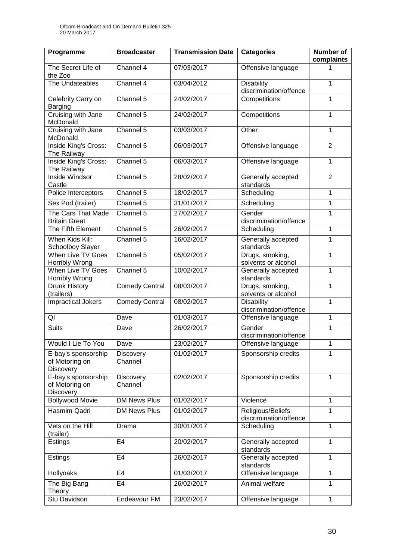| Programme                                                 | <b>Broadcaster</b>    | <b>Transmission Date</b> | <b>Categories</b>                           | <b>Number of</b><br>complaints |
|-----------------------------------------------------------|-----------------------|--------------------------|---------------------------------------------|--------------------------------|
| The Secret Life of<br>the Zoo                             | Channel 4             | 07/03/2017               | Offensive language                          |                                |
| The Undateables                                           | Channel 4             | 03/04/2012               | <b>Disability</b><br>discrimination/offence | 1                              |
| Celebrity Carry on<br><b>Barging</b>                      | Channel 5             | 24/02/2017               | Competitions                                | $\mathbf{1}$                   |
| Cruising with Jane<br>McDonald                            | Channel 5             | 24/02/2017               | Competitions                                | 1                              |
| Cruising with Jane<br>McDonald                            | Channel 5             | 03/03/2017               | Other                                       | 1                              |
| Inside King's Cross:<br>The Railway                       | Channel 5             | 06/03/2017               | Offensive language                          | $\overline{2}$                 |
| <b>Inside King's Cross:</b><br>The Railway                | Channel 5             | 06/03/2017               | Offensive language                          | 1                              |
| Inside Windsor<br>Castle                                  | Channel 5             | 28/02/2017               | Generally accepted<br>standards             | $\overline{2}$                 |
| Police Interceptors                                       | Channel 5             | 18/02/2017               | Scheduling                                  | $\mathbf{1}$                   |
| Sex Pod (trailer)                                         | Channel 5             | 31/01/2017               | Scheduling                                  | $\mathbf 1$                    |
| The Cars That Made<br><b>Britain Great</b>                | Channel 5             | 27/02/2017               | Gender<br>discrimination/offence            | 1                              |
| The Fifth Element                                         | Channel 5             | 26/02/2017               | Scheduling                                  | 1                              |
| When Kids Kill:<br><b>Schoolboy Slayer</b>                | Channel 5             | 16/02/2017               | Generally accepted<br>standards             | $\mathbf{1}$                   |
| When Live TV Goes<br>Horribly Wrong                       | Channel 5             | 05/02/2017               | Drugs, smoking,<br>solvents or alcohol      | $\mathbf{1}$                   |
| <b>When Live TV Goes</b><br>Horribly Wrong                | Channel 5             | 10/02/2017               | Generally accepted<br>standards             | $\mathbf{1}$                   |
| Drunk History<br>(trailers)                               | <b>Comedy Central</b> | 08/03/2017               | Drugs, smoking,<br>solvents or alcohol      | $\mathbf{1}$                   |
| <b>Impractical Jokers</b>                                 | <b>Comedy Central</b> | 08/02/2017               | <b>Disability</b><br>discrimination/offence | 1                              |
| QI                                                        | Dave                  | 01/03/2017               | Offensive language                          | $\mathbf{1}$                   |
| <b>Suits</b>                                              | Dave                  | 26/02/2017               | Gender<br>discrimination/offence            | 1                              |
| Would I Lie To You                                        | Dave                  | 23/02/2017               | Offensive language                          | $\mathbf 1$                    |
| E-bay's sponsorship<br>of Motoring on<br><b>Discovery</b> | Discovery<br>Channel  | 01/02/2017               | Sponsorship credits                         | 1                              |
| E-bay's sponsorship<br>of Motoring on<br><b>Discovery</b> | Discovery<br>Channel  | 02/02/2017               | Sponsorship credits                         | 1                              |
| <b>Bollywood Movie</b>                                    | <b>DM News Plus</b>   | 01/02/2017               | Violence                                    | $\mathbf{1}$                   |
| Hasmim Qadri                                              | <b>DM News Plus</b>   | 01/02/2017               | Religious/Beliefs<br>discrimination/offence | 1                              |
| Vets on the Hill<br>(trailer)                             | Drama                 | 30/01/2017               | Scheduling                                  | $\mathbf{1}$                   |
| Estings                                                   | E4                    | 20/02/2017               | Generally accepted<br>standards             | 1                              |
| Estings                                                   | E <sub>4</sub>        | 26/02/2017               | Generally accepted<br>standards             | $\mathbf{1}$                   |
| Hollyoaks                                                 | E4                    | 01/03/2017               | Offensive language                          | $\mathbf{1}$                   |
| The Big Bang<br>Theory                                    | E <sub>4</sub>        | 26/02/2017               | Animal welfare                              | 1                              |
| Stu Davidson                                              | Endeavour FM          | 23/02/2017               | Offensive language                          | $\mathbf{1}$                   |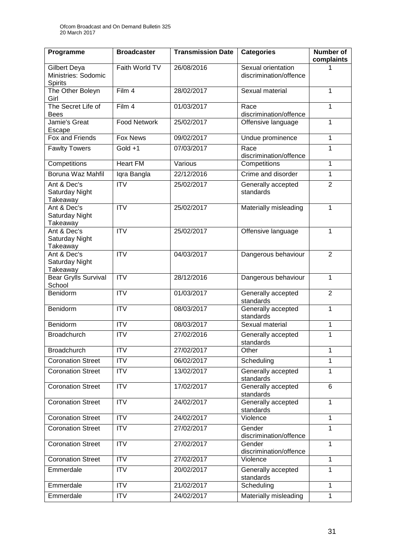| Programme                                                    | <b>Broadcaster</b>      | <b>Transmission Date</b> | <b>Categories</b>                            | <b>Number of</b><br>complaints |
|--------------------------------------------------------------|-------------------------|--------------------------|----------------------------------------------|--------------------------------|
| <b>Gilbert Deya</b><br>Ministries: Sodomic<br><b>Spirits</b> | Faith World TV          | 26/08/2016               | Sexual orientation<br>discrimination/offence |                                |
| The Other Boleyn<br>Girl                                     | Film 4                  | 28/02/2017               | Sexual material                              | 1                              |
| The Secret Life of<br><b>Bees</b>                            | Film 4                  | 01/03/2017               | Race<br>discrimination/offence               | 1                              |
| Jamie's Great<br>Escape                                      | <b>Food Network</b>     | 25/02/2017               | Offensive language                           | 1                              |
| Fox and Friends                                              | <b>Fox News</b>         | 09/02/2017               | Undue prominence                             | 1                              |
| <b>Fawlty Towers</b>                                         | Gold +1                 | 07/03/2017               | Race<br>discrimination/offence               | 1                              |
| Competitions                                                 | <b>Heart FM</b>         | Various                  | Competitions                                 | 1                              |
| Boruna Waz Mahfil                                            | Iqra Bangla             | 22/12/2016               | Crime and disorder                           | 1                              |
| Ant & Dec's<br>Saturday Night<br>Takeaway                    | $\overline{\text{ITV}}$ | 25/02/2017               | Generally accepted<br>standards              | $\overline{2}$                 |
| Ant & Dec's<br>Saturday Night<br>Takeaway                    | $\overline{\text{ITV}}$ | 25/02/2017               | Materially misleading                        | 1                              |
| Ant & Dec's<br>Saturday Night<br>Takeaway                    | $\overline{IV}$         | 25/02/2017               | Offensive language                           | 1                              |
| Ant & Dec's<br>Saturday Night<br>Takeaway                    | <b>ITV</b>              | 04/03/2017               | Dangerous behaviour                          | $\overline{2}$                 |
| <b>Bear Grylls Survival</b><br>School                        | $\overline{IV}$         | 28/12/2016               | Dangerous behaviour                          | 1                              |
| Benidorm                                                     | $\overline{IV}$         | 01/03/2017               | Generally accepted<br>standards              | $\overline{2}$                 |
| Benidorm                                                     | <b>ITV</b>              | 08/03/2017               | Generally accepted<br>standards              | 1                              |
| Benidorm                                                     | $\overline{\text{IV}}$  | 08/03/2017               | Sexual material                              | 1                              |
| <b>Broadchurch</b>                                           | <b>ITV</b>              | 27/02/2016               | Generally accepted<br>standards              | 1                              |
| <b>Broadchurch</b>                                           | <b>ITV</b>              | 27/02/2017               | Other                                        | 1                              |
| <b>Coronation Street</b>                                     | <b>ITV</b>              | 06/02/2017               | Scheduling                                   | 1                              |
| <b>Coronation Street</b>                                     | <b>ITV</b>              | 13/02/2017               | Generally accepted<br>standards              | 1                              |
| <b>Coronation Street</b>                                     | $\overline{IV}$         | 17/02/2017               | Generally accepted<br>standards              | 6                              |
| <b>Coronation Street</b>                                     | <b>ITV</b>              | 24/02/2017               | Generally accepted<br>standards              | $\mathbf{1}$                   |
| <b>Coronation Street</b>                                     | <b>ITV</b>              | 24/02/2017               | Violence                                     | 1                              |
| <b>Coronation Street</b>                                     | <b>ITV</b>              | 27/02/2017               | Gender<br>discrimination/offence             | 1                              |
| <b>Coronation Street</b>                                     | $\overline{ITV}$        | 27/02/2017               | Gender<br>discrimination/offence             | 1                              |
| <b>Coronation Street</b>                                     | $\overline{IV}$         | 27/02/2017               | Violence                                     | 1                              |
| Emmerdale                                                    | <b>ITV</b>              | 20/02/2017               | Generally accepted<br>standards              | 1                              |
| Emmerdale                                                    | <b>ITV</b>              | 21/02/2017               | Scheduling                                   | 1                              |
| Emmerdale                                                    | <b>ITV</b>              | 24/02/2017               | Materially misleading                        | $\mathbf{1}$                   |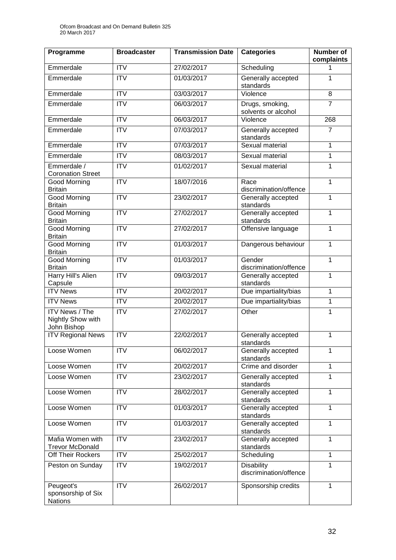| Programme                                                 | <b>Broadcaster</b>      | <b>Transmission Date</b> | <b>Categories</b>                           | <b>Number of</b><br>complaints |
|-----------------------------------------------------------|-------------------------|--------------------------|---------------------------------------------|--------------------------------|
| Emmerdale                                                 | <b>ITV</b>              | 27/02/2017               | Scheduling                                  | 1                              |
| Emmerdale                                                 | $\overline{\text{IV}}$  | 01/03/2017               | Generally accepted<br>standards             | 1                              |
| Emmerdale                                                 | $\overline{IV}$         | 03/03/2017               | Violence                                    | 8                              |
| Emmerdale                                                 | <b>ITV</b>              | 06/03/2017               | Drugs, smoking,<br>solvents or alcohol      | $\overline{7}$                 |
| Emmerdale                                                 | <b>ITV</b>              | 06/03/2017               | Violence                                    | 268                            |
| Emmerdale                                                 | <b>ITV</b>              | 07/03/2017               | Generally accepted<br>standards             | $\overline{7}$                 |
| Emmerdale                                                 | $\overline{IV}$         | 07/03/2017               | Sexual material                             | 1                              |
| Emmerdale                                                 | <b>ITV</b>              | 08/03/2017               | Sexual material                             | 1                              |
| Emmerdale /<br><b>Coronation Street</b>                   | <b>ITV</b>              | 01/02/2017               | Sexual material                             | 1                              |
| <b>Good Morning</b><br><b>Britain</b>                     | <b>ITV</b>              | 18/07/2016               | Race<br>discrimination/offence              | 1                              |
| <b>Good Morning</b><br><b>Britain</b>                     | $\overline{ITV}$        | 23/02/2017               | Generally accepted<br>standards             | $\mathbf{1}$                   |
| <b>Good Morning</b><br><b>Britain</b>                     | $\overline{\text{IV}}$  | 27/02/2017               | Generally accepted<br>standards             | 1                              |
| Good Morning<br><b>Britain</b>                            | <b>ITV</b>              | 27/02/2017               | Offensive language                          | 1                              |
| <b>Good Morning</b><br><b>Britain</b>                     | $\overline{\text{ITV}}$ | 01/03/2017               | Dangerous behaviour                         | $\mathbf{1}$                   |
| <b>Good Morning</b><br><b>Britain</b>                     | <b>ITV</b>              | 01/03/2017               | Gender<br>discrimination/offence            | $\mathbf{1}$                   |
| Harry Hill's Alien<br>Capsule                             | $\overline{\text{IV}}$  | 09/03/2017               | Generally accepted<br>standards             | 1                              |
| <b>ITV News</b>                                           | $\overline{IV}$         | 20/02/2017               | Due impartiality/bias                       | $\mathbf{1}$                   |
| <b>ITV News</b>                                           | <b>ITV</b>              | 20/02/2017               | Due impartiality/bias                       | 1                              |
| <b>ITV News / The</b><br>Nightly Show with<br>John Bishop | <b>ITV</b>              | 27/02/2017               | Other                                       | $\mathbf{1}$                   |
| <b>ITV Regional News</b>                                  | $\overline{ITV}$        | 22/02/2017               | Generally accepted<br>standards             | $\mathbf{1}$                   |
| Loose Women                                               | <b>ITV</b>              | 06/02/2017               | Generally accepted<br>standards             | 1                              |
| Loose Women                                               | <b>ITV</b>              | 20/02/2017               | Crime and disorder                          | 1                              |
| Loose Women                                               | <b>ITV</b>              | 23/02/2017               | Generally accepted<br>standards             | 1                              |
| Loose Women                                               | <b>ITV</b>              | 28/02/2017               | Generally accepted<br>standards             | 1                              |
| Loose Women                                               | <b>ITV</b>              | 01/03/2017               | Generally accepted<br>standards             | $\mathbf{1}$                   |
| Loose Women                                               | <b>ITV</b>              | 01/03/2017               | Generally accepted<br>standards             | $\mathbf{1}$                   |
| Mafia Women with<br><b>Trevor McDonald</b>                | <b>ITV</b>              | 23/02/2017               | Generally accepted<br>standards             | $\mathbf{1}$                   |
| Off Their Rockers                                         | <b>ITV</b>              | 25/02/2017               | Scheduling                                  | $\mathbf{1}$                   |
| Peston on Sunday                                          | <b>ITV</b>              | 19/02/2017               | <b>Disability</b><br>discrimination/offence | 1                              |
| Peugeot's<br>sponsorship of Six<br><b>Nations</b>         | ITV                     | 26/02/2017               | Sponsorship credits                         | $\mathbf{1}$                   |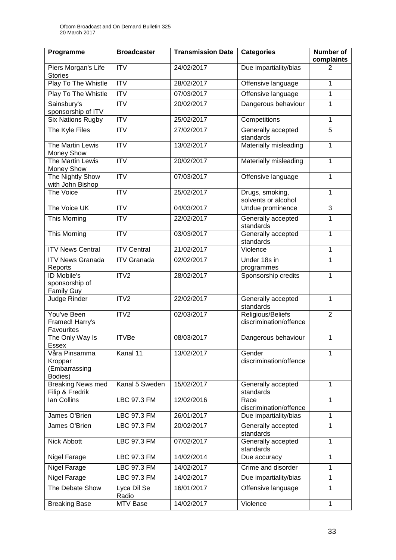| Programme                                                 | <b>Broadcaster</b>      | <b>Transmission Date</b> | <b>Categories</b>                           | <b>Number of</b><br>complaints |
|-----------------------------------------------------------|-------------------------|--------------------------|---------------------------------------------|--------------------------------|
| Piers Morgan's Life<br><b>Stories</b>                     | <b>ITV</b>              | 24/02/2017               | Due impartiality/bias                       | 2                              |
| Play To The Whistle                                       | $\overline{ITV}$        | 28/02/2017               | Offensive language                          | 1                              |
| Play To The Whistle                                       | $\overline{\text{ITV}}$ | 07/03/2017               | Offensive language                          | 1                              |
| Sainsbury's<br>sponsorship of ITV                         | $\overline{ITV}$        | 20/02/2017               | Dangerous behaviour                         | 1                              |
| <b>Six Nations Rugby</b>                                  | $\overline{IV}$         | 25/02/2017               | Competitions                                | 1                              |
| The Kyle Files                                            | $\overline{\text{ITV}}$ | 27/02/2017               | Generally accepted<br>standards             | 5                              |
| The Martin Lewis<br>Money Show                            | $\overline{IV}$         | 13/02/2017               | Materially misleading                       | 1                              |
| The Martin Lewis<br>Money Show                            | $\overline{ITV}$        | 20/02/2017               | Materially misleading                       | 1                              |
| The Nightly Show<br>with John Bishop                      | $\overline{ITV}$        | 07/03/2017               | Offensive language                          | 1                              |
| The Voice                                                 | $\overline{ITV}$        | 25/02/2017               | Drugs, smoking,<br>solvents or alcohol      | $\mathbf 1$                    |
| The Voice UK                                              | <b>ITV</b>              | 04/03/2017               | Undue prominence                            | 3                              |
| This Morning                                              | <b>ITV</b>              | 22/02/2017               | Generally accepted<br>standards             | 1                              |
| This Morning                                              | <b>ITV</b>              | 03/03/2017               | Generally accepted<br>standards             | 1                              |
| <b>ITV News Central</b>                                   | <b>ITV Central</b>      | 21/02/2017               | Violence                                    | 1                              |
| <b>ITV News Granada</b><br>Reports                        | <b>ITV Granada</b>      | 02/02/2017               | Under 18s in<br>programmes                  | $\mathbf 1$                    |
| <b>ID</b> Mobile's<br>sponsorship of<br><b>Family Guy</b> | ITV2                    | 28/02/2017               | Sponsorship credits                         | 1                              |
| Judge Rinder                                              | ITV <sub>2</sub>        | 22/02/2017               | Generally accepted<br>standards             | 1                              |
| You've Been<br>Framed! Harry's<br>Favourites              | ITV2                    | 02/03/2017               | Religious/Beliefs<br>discrimination/offence | $\overline{2}$                 |
| The Only Way Is<br>Essex                                  | <b>ITVBe</b>            | 08/03/2017               | Dangerous behaviour                         | 1                              |
| Våra Pinsamma<br>Kroppar<br>(Embarrassing<br>Bodies)      | Kanal 11                | 13/02/2017               | Gender<br>discrimination/offence            | 1                              |
| <b>Breaking News med</b><br>Filip & Fredrik               | Kanal 5 Sweden          | 15/02/2017               | Generally accepted<br>standards             | 1                              |
| lan Collins                                               | LBC 97.3 FM             | 12/02/2016               | Race<br>discrimination/offence              | 1                              |
| James O'Brien                                             | LBC 97.3 FM             | 26/01/2017               | Due impartiality/bias                       | 1                              |
| James O'Brien                                             | LBC 97.3 FM             | 20/02/2017               | Generally accepted<br>standards             | 1                              |
| Nick Abbott                                               | <b>LBC 97.3 FM</b>      | 07/02/2017               | Generally accepted<br>standards             | 1                              |
| Nigel Farage                                              | LBC 97.3 FM             | 14/02/2014               | Due accuracy                                | 1                              |
| Nigel Farage                                              | LBC 97.3 FM             | 14/02/2017               | Crime and disorder                          | 1                              |
| Nigel Farage                                              | LBC 97.3 FM             | 14/02/2017               | Due impartiality/bias                       | 1                              |
| The Debate Show                                           | Lyca Dil Se<br>Radio    | 16/01/2017               | Offensive language                          | 1                              |
| <b>Breaking Base</b>                                      | MTV Base                | 14/02/2017               | Violence                                    | $\mathbf{1}$                   |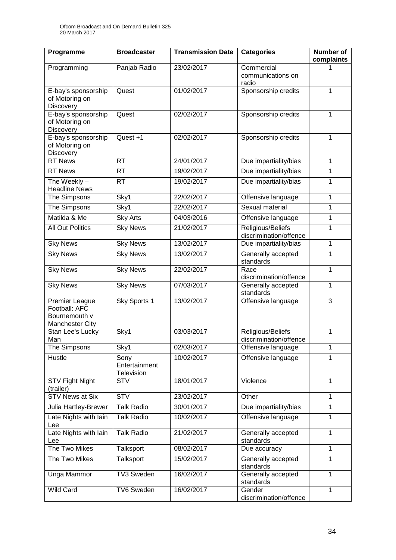| Programme                                                           | <b>Broadcaster</b>                  | <b>Transmission Date</b> | <b>Categories</b>                           | <b>Number of</b><br>complaints |
|---------------------------------------------------------------------|-------------------------------------|--------------------------|---------------------------------------------|--------------------------------|
| Programming                                                         | Panjab Radio                        | 23/02/2017               | Commercial<br>communications on<br>radio    |                                |
| E-bay's sponsorship<br>of Motoring on<br><b>Discovery</b>           | Quest                               | 01/02/2017               | Sponsorship credits                         | $\mathbf{1}$                   |
| E-bay's sponsorship<br>of Motoring on<br>Discovery                  | Quest                               | 02/02/2017               | Sponsorship credits                         | 1                              |
| E-bay's sponsorship<br>of Motoring on<br>Discovery                  | Quest +1                            | 02/02/2017               | Sponsorship credits                         | $\mathbf{1}$                   |
| <b>RT News</b>                                                      | <b>RT</b>                           | 24/01/2017               | Due impartiality/bias                       | $\mathbf{1}$                   |
| <b>RT News</b>                                                      | <b>RT</b>                           | 19/02/2017               | Due impartiality/bias                       | $\mathbf{1}$                   |
| The Weekly-<br><b>Headline News</b>                                 | <b>RT</b>                           | 19/02/2017               | Due impartiality/bias                       | 1                              |
| The Simpsons                                                        | Sky1                                | 22/02/2017               | Offensive language                          | 1                              |
| The Simpsons                                                        | Sky1                                | 22/02/2017               | Sexual material                             | 1                              |
| Matilda & Me                                                        | <b>Sky Arts</b>                     | 04/03/2016               | Offensive language                          | 1                              |
| <b>All Out Politics</b>                                             | <b>Sky News</b>                     | 21/02/2017               | Religious/Beliefs<br>discrimination/offence | 1                              |
| <b>Sky News</b>                                                     | <b>Sky News</b>                     | 13/02/2017               | Due impartiality/bias                       | 1                              |
| <b>Sky News</b>                                                     | <b>Sky News</b>                     | 13/02/2017               | Generally accepted<br>standards             | 1                              |
| <b>Sky News</b>                                                     | <b>Sky News</b>                     | 22/02/2017               | Race<br>discrimination/offence              | 1                              |
| <b>Sky News</b>                                                     | <b>Sky News</b>                     | 07/03/2017               | Generally accepted<br>standards             | 1                              |
| Premier League<br>Football: AFC<br>Bournemouth v<br>Manchester City | Sky Sports 1                        | 13/02/2017               | Offensive language                          | 3                              |
| Stan Lee's Lucky<br>Man                                             | Sky1                                | 03/03/2017               | Religious/Beliefs<br>discrimination/offence | 1                              |
| The Simpsons                                                        | Sky1                                | 02/03/2017               | Offensive language                          | 1                              |
| Hustle                                                              | Sony<br>Entertainment<br>Television | 10/02/2017               | Offensive language                          | 1                              |
| <b>STV Fight Night</b><br>(trailer)                                 | <b>STV</b>                          | 18/01/2017               | Violence                                    | 1                              |
| <b>STV News at Six</b>                                              | <b>STV</b>                          | 23/02/2017               | Other                                       | 1                              |
| Julia Hartley-Brewer                                                | <b>Talk Radio</b>                   | 30/01/2017               | Due impartiality/bias                       | $\mathbf{1}$                   |
| Late Nights with lain<br>Lee                                        | <b>Talk Radio</b>                   | 10/02/2017               | Offensive language                          | 1                              |
| Late Nights with lain<br>Lee                                        | <b>Talk Radio</b>                   | 21/02/2017               | Generally accepted<br>standards             | 1                              |
| The Two Mikes                                                       | Talksport                           | 08/02/2017               | Due accuracy                                | 1                              |
| The Two Mikes                                                       | Talksport                           | 15/02/2017               | Generally accepted<br>standards             | $\mathbf{1}$                   |
| Unga Mammor                                                         | TV3 Sweden                          | 16/02/2017               | Generally accepted<br>standards             | 1                              |
| Wild Card                                                           | <b>TV6 Sweden</b>                   | 16/02/2017               | Gender<br>discrimination/offence            | $\mathbf{1}$                   |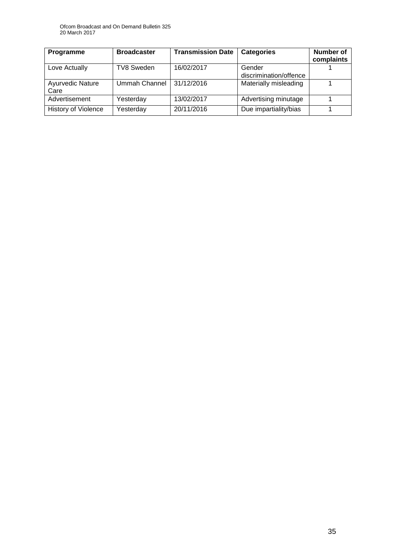| Programme                       | <b>Broadcaster</b> | <b>Transmission Date</b> | <b>Categories</b>                | <b>Number of</b><br>complaints |
|---------------------------------|--------------------|--------------------------|----------------------------------|--------------------------------|
| Love Actually                   | <b>TV8 Sweden</b>  | 16/02/2017               | Gender<br>discrimination/offence |                                |
| <b>Ayurvedic Nature</b><br>Care | Ummah Channel      | 31/12/2016               | Materially misleading            |                                |
| Advertisement                   | Yesterday          | 13/02/2017               | Advertising minutage             |                                |
| <b>History of Violence</b>      | Yesterday          | 20/11/2016               | Due impartiality/bias            |                                |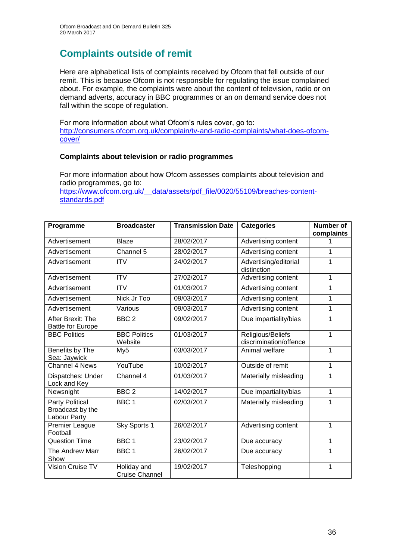# **Complaints outside of remit**

Here are alphabetical lists of complaints received by Ofcom that fell outside of our remit. This is because Ofcom is not responsible for regulating the issue complained about. For example, the complaints were about the content of television, radio or on demand adverts, accuracy in BBC programmes or an on demand service does not fall within the scope of regulation.

For more information about what Ofcom's rules cover, go to: [http://consumers.ofcom.org.uk/complain/tv-and-radio-complaints/what-does-ofcom](http://consumers.ofcom.org.uk/complain/tv-and-radio-complaints/what-does-ofcom-cover/)[cover/](http://consumers.ofcom.org.uk/complain/tv-and-radio-complaints/what-does-ofcom-cover/)

#### **Complaints about television or radio programmes**

For more information about how Ofcom assesses complaints about television and radio programmes, go to:

[https://www.ofcom.org.uk/\\_\\_data/assets/pdf\\_file/0020/55109/breaches-content](https://www.ofcom.org.uk/__data/assets/pdf_file/0020/55109/breaches-content-standards.pdf)[standards.pdf](https://www.ofcom.org.uk/__data/assets/pdf_file/0020/55109/breaches-content-standards.pdf)

| Programme                                                  | <b>Broadcaster</b>                   | <b>Transmission Date</b> | <b>Categories</b>                           | <b>Number of</b><br>complaints |
|------------------------------------------------------------|--------------------------------------|--------------------------|---------------------------------------------|--------------------------------|
| Advertisement                                              | <b>Blaze</b>                         | 28/02/2017               | Advertising content                         | 1                              |
| Advertisement                                              | Channel 5                            | 28/02/2017               | Advertising content                         | 1                              |
| Advertisement                                              | <b>ITV</b>                           | 24/02/2017               | Advertising/editorial<br>distinction        | 1                              |
| Advertisement                                              | <b>ITV</b>                           | 27/02/2017               | Advertising content                         | 1                              |
| Advertisement                                              | <b>ITV</b>                           | 01/03/2017               | Advertising content                         | 1                              |
| Advertisement                                              | Nick Jr Too                          | 09/03/2017               | Advertising content                         | 1                              |
| Advertisement                                              | Various                              | 09/03/2017               | Advertising content                         | 1                              |
| After Brexit: The<br><b>Battle for Europe</b>              | BBC <sub>2</sub>                     | 09/02/2017               | Due impartiality/bias                       | 1                              |
| <b>BBC Politics</b>                                        | <b>BBC Politics</b><br>Website       | 01/03/2017               | Religious/Beliefs<br>discrimination/offence | 1                              |
| Benefits by The<br>Sea: Jaywick                            | My <sub>5</sub>                      | 03/03/2017               | Animal welfare                              | 1                              |
| <b>Channel 4 News</b>                                      | YouTube                              | 10/02/2017               | Outside of remit                            | 1                              |
| Dispatches: Under<br>Lock and Key                          | Channel 4                            | 01/03/2017               | Materially misleading                       | 1                              |
| Newsnight                                                  | BBC <sub>2</sub>                     | 14/02/2017               | Due impartiality/bias                       | 1                              |
| <b>Party Political</b><br>Broadcast by the<br>Labour Party | BBC <sub>1</sub>                     | 02/03/2017               | Materially misleading                       | 1                              |
| <b>Premier League</b><br>Football                          | Sky Sports 1                         | 26/02/2017               | Advertising content                         | 1                              |
| <b>Question Time</b>                                       | BBC <sub>1</sub>                     | 23/02/2017               | Due accuracy                                | 1                              |
| The Andrew Marr<br>Show                                    | BBC <sub>1</sub>                     | 26/02/2017               | Due accuracy                                | 1                              |
| Vision Cruise TV                                           | Holiday and<br><b>Cruise Channel</b> | 19/02/2017               | Teleshopping                                | 1                              |